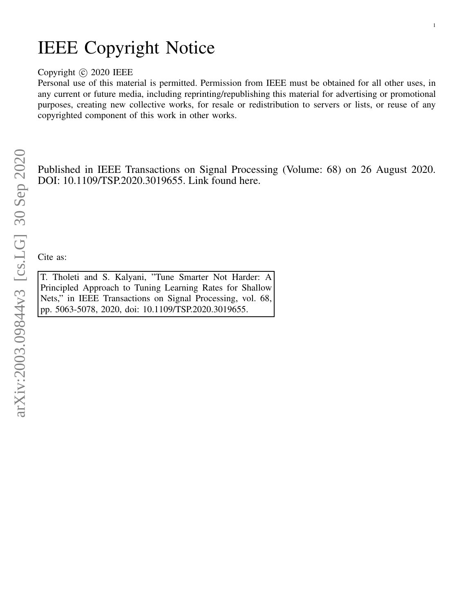# IEEE Copyright Notice

# Copyright © 2020 IEEE

Personal use of this material is permitted. Permission from IEEE must be obtained for all other uses, in any current or future media, including reprinting/republishing this material for advertising or promotional purposes, creating new collective works, for resale or redistribution to servers or lists, or reuse of any copyrighted component of this work in other works.

1

Published in IEEE Transactions on Signal Processing (Volume: 68) on 26 August 2020. DOI: 10.1109/TSP.2020.3019655. Link found here.

Cite as:

T. Tholeti and S. Kalyani, "Tune Smarter Not Harder: A Principled Approach to Tuning Learning Rates for Shallow Nets," in IEEE Transactions on Signal Processing, vol. 68, pp. 5063-5078, 2020, doi: 10.1109/TSP.2020.3019655.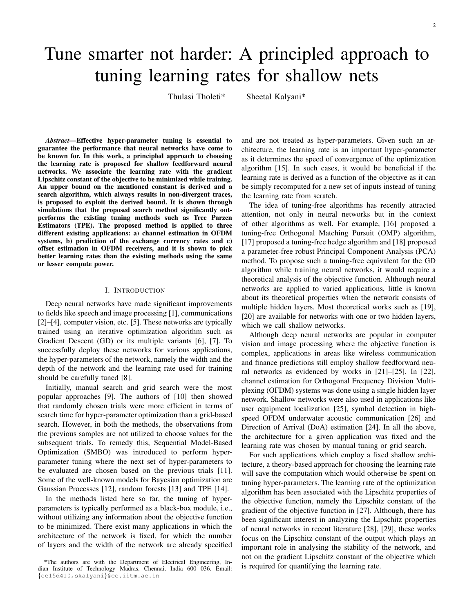# Tune smarter not harder: A principled approach to tuning learning rates for shallow nets

Thulasi Tholeti\* Sheetal Kalyani\*

*Abstract*—Effective hyper-parameter tuning is essential to guarantee the performance that neural networks have come to be known for. In this work, a principled approach to choosing the learning rate is proposed for shallow feedforward neural networks. We associate the learning rate with the gradient Lipschitz constant of the objective to be minimized while training. An upper bound on the mentioned constant is derived and a search algorithm, which always results in non-divergent traces, is proposed to exploit the derived bound. It is shown through simulations that the proposed search method significantly outperforms the existing tuning methods such as Tree Parzen Estimators (TPE). The proposed method is applied to three different existing applications: a) channel estimation in OFDM systems, b) prediction of the exchange currency rates and c) offset estimation in OFDM receivers, and it is shown to pick better learning rates than the existing methods using the same or lesser compute power.

# I. INTRODUCTION

Deep neural networks have made significant improvements to fields like speech and image processing [1], communications [2]–[4], computer vision, etc. [5]. These networks are typically trained using an iterative optimization algorithm such as Gradient Descent (GD) or its multiple variants [6], [7]. To successfully deploy these networks for various applications, the hyper-parameters of the network, namely the width and the depth of the network and the learning rate used for training should be carefully tuned [8].

Initially, manual search and grid search were the most popular approaches [9]. The authors of [10] then showed that randomly chosen trials were more efficient in terms of search time for hyper-parameter optimization than a grid-based search. However, in both the methods, the observations from the previous samples are not utilized to choose values for the subsequent trials. To remedy this, Sequential Model-Based Optimization (SMBO) was introduced to perform hyperparameter tuning where the next set of hyper-parameters to be evaluated are chosen based on the previous trials [11]. Some of the well-known models for Bayesian optimization are Gaussian Processes [12], random forests [13] and TPE [14].

In the methods listed here so far, the tuning of hyperparameters is typically performed as a black-box module, i.e., without utilizing any information about the objective function to be minimized. There exist many applications in which the architecture of the network is fixed, for which the number of layers and the width of the network are already specified

\*The authors are with the Department of Electrical Engineering, Indian Institute of Technology Madras, Chennai, India 600 036. Email: {ee15d410,skalyani}@ee.iitm.ac.in

and are not treated as hyper-parameters. Given such an architecture, the learning rate is an important hyper-parameter as it determines the speed of convergence of the optimization algorithm [15]. In such cases, it would be beneficial if the learning rate is derived as a function of the objective as it can be simply recomputed for a new set of inputs instead of tuning the learning rate from scratch.

The idea of tuning-free algorithms has recently attracted attention, not only in neural networks but in the context of other algorithms as well. For example, [16] proposed a tuning-free Orthogonal Matching Pursuit (OMP) algorithm, [17] proposed a tuning-free hedge algorithm and [18] proposed a parameter-free robust Principal Component Analysis (PCA) method. To propose such a tuning-free equivalent for the GD algorithm while training neural networks, it would require a theoretical analysis of the objective function. Although neural networks are applied to varied applications, little is known about its theoretical properties when the network consists of multiple hidden layers. Most theoretical works such as [19], [20] are available for networks with one or two hidden layers, which we call shallow networks.

Although deep neural networks are popular in computer vision and image processing where the objective function is complex, applications in areas like wireless communication and finance predictions still employ shallow feedforward neural networks as evidenced by works in [21]–[25]. In [22], channel estimation for Orthogonal Frequency Division Multiplexing (OFDM) systems was done using a single hidden layer network. Shallow networks were also used in applications like user equipment localization [25], symbol detection in highspeed OFDM underwater acoustic communication [26] and Direction of Arrival (DoA) estimation [24]. In all the above, the architecture for a given application was fixed and the learning rate was chosen by manual tuning or grid search.

For such applications which employ a fixed shallow architecture, a theory-based approach for choosing the learning rate will save the computation which would otherwise be spent on tuning hyper-parameters. The learning rate of the optimization algorithm has been associated with the Lipschitz properties of the objective function, namely the Lipschitz constant of the gradient of the objective function in [27]. Although, there has been significant interest in analyzing the Lipschitz properties of neural networks in recent literature [28], [29], these works focus on the Lipschitz constant of the output which plays an important role in analysing the stability of the network, and not on the gradient Lipschitz constant of the objective which is required for quantifying the learning rate.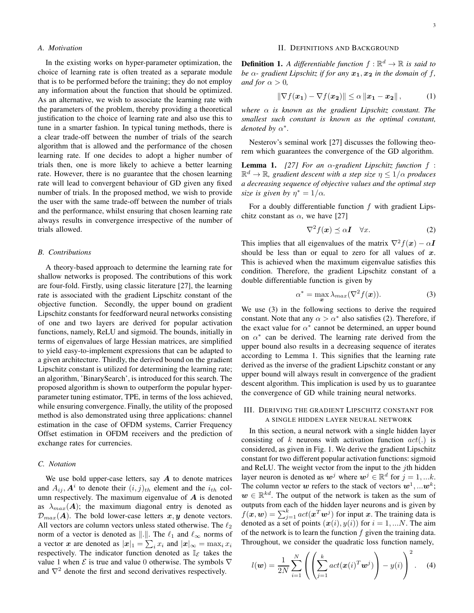#### *A. Motivation*

In the existing works on hyper-parameter optimization, the choice of learning rate is often treated as a separate module that is to be performed before the training; they do not employ any information about the function that should be optimized. As an alternative, we wish to associate the learning rate with the parameters of the problem, thereby providing a theoretical justification to the choice of learning rate and also use this to tune in a smarter fashion. In typical tuning methods, there is a clear trade-off between the number of trials of the search algorithm that is allowed and the performance of the chosen learning rate. If one decides to adopt a higher number of trials then, one is more likely to achieve a better learning rate. However, there is no guarantee that the chosen learning rate will lead to convergent behaviour of GD given any fixed number of trials. In the proposed method, we wish to provide the user with the same trade-off between the number of trials and the performance, whilst ensuring that chosen learning rate always results in convergence irrespective of the number of trials allowed.

#### *B. Contributions*

A theory-based approach to determine the learning rate for shallow networks is proposed. The contributions of this work are four-fold. Firstly, using classic literature [27], the learning rate is associated with the gradient Lipschitz constant of the objective function. Secondly, the upper bound on gradient Lipschitz constants for feedforward neural networks consisting of one and two layers are derived for popular activation functions, namely, ReLU and sigmoid. The bounds, initially in terms of eigenvalues of large Hessian matrices, are simplified to yield easy-to-implement expressions that can be adapted to a given architecture. Thirdly, the derived bound on the gradient Lipschitz constant is utilized for determining the learning rate; an algorithm, 'BinarySearch', is introduced for this search. The proposed algorithm is shown to outperform the popular hyperparameter tuning estimator, TPE, in terms of the loss achieved, while ensuring convergence. Finally, the utility of the proposed method is also demonstrated using three applications: channel estimation in the case of OFDM systems, Carrier Frequency Offset estimation in OFDM receivers and the prediction of exchange rates for currencies.

# *C. Notation*

We use bold upper-case letters, say  $\boldsymbol{A}$  to denote matrices and  $A_{ij}$ ,  $A^i$  to denote their  $(i, j)$ <sub>th</sub> element and the  $i_{th}$  column respectively. The maximum eigenvalue of  $A$  is denoted as  $\lambda_{max}(A)$ ; the maximum diagonal entry is denoted as  $\mathcal{D}_{max}(A)$ . The bold lower-case letters x, y denote vectors. All vectors are column vectors unless stated otherwise. The  $\ell_2$ norm of a vector is denoted as  $\Vert . \Vert$ . The  $\ell_1$  and  $\ell_\infty$  norms of a vector x are denoted as  $|x|_1 = \sum_i x_i$  and  $|x|_{\infty} = \max_i x_i$ respectively. The indicator function denoted as  $\mathbb{I}_{\mathcal{E}}$  takes the value 1 when  $\mathcal E$  is true and value 0 otherwise. The symbols  $\nabla$ and  $\nabla^2$  denote the first and second derivatives respectively.

## II. DEFINITIONS AND BACKGROUND

**Definition 1.** A differentiable function  $f : \mathbb{R}^d \to \mathbb{R}$  is said to *be*  $\alpha$ - gradient Lipschitz if for any  $x_1, x_2$  in the domain of f, *and for*  $\alpha > 0$ *,* 

$$
\|\nabla f(\boldsymbol{x_1}) - \nabla f(\boldsymbol{x_2})\| \le \alpha \left\|\boldsymbol{x_1} - \boldsymbol{x_2}\right\|,\tag{1}
$$

*where* α *is known as the gradient Lipschitz constant. The smallest such constant is known as the optimal constant, denoted by*  $\alpha^*$ *.* 

Nesterov's seminal work [27] discusses the following theorem which guarantees the convergence of the GD algorithm.

**Lemma 1.** *[27] For an*  $\alpha$ *-gradient Lipschitz function*  $f$ :  $\mathbb{R}^d \to \mathbb{R}$ , gradient descent with a step size  $\eta \leq 1/\alpha$  produces *a decreasing sequence of objective values and the optimal step size is given by*  $\eta^* = 1/\alpha$ *.* 

For a doubly differentiable function  $f$  with gradient Lipschitz constant as  $\alpha$ , we have [27]

$$
\nabla^2 f(\boldsymbol{x}) \preceq \alpha \boldsymbol{I} \quad \forall \boldsymbol{x}.\tag{2}
$$

This implies that all eigenvalues of the matrix  $\nabla^2 f(x) - \alpha I$ should be less than or equal to zero for all values of  $x$ . This is achieved when the maximum eigenvalue satisfies this condition. Therefore, the gradient Lipschitz constant of a double differentiable function is given by

$$
\alpha^* = \max_{\mathbf{x}} \lambda_{max}(\nabla^2 f(\mathbf{x})).
$$
 (3)

We use (3) in the following sections to derive the required constant. Note that any  $\alpha > \alpha^*$  also satisfies (2). Therefore, if the exact value for  $\alpha^*$  cannot be determined, an upper bound on  $\alpha^*$  can be derived. The learning rate derived from the upper bound also results in a decreasing sequence of iterates according to Lemma 1. This signifies that the learning rate derived as the inverse of the gradient Lipschitz constant or any upper bound will always result in convergence of the gradient descent algorithm. This implication is used by us to guarantee the convergence of GD while training neural networks.

## III. DERIVING THE GRADIENT LIPSCHITZ CONSTANT FOR A SINGLE HIDDEN LAYER NEURAL NETWORK

In this section, a neural network with a single hidden layer consisting of  $k$  neurons with activation function  $act(.)$  is considered, as given in Fig. 1. We derive the gradient Lipschitz constant for two different popular activation functions: sigmoid and ReLU. The weight vector from the input to the jth hidden layer neuron is denoted as  $w^j$  where  $w^j \in \mathbb{R}^d$  for  $j = 1, ...k$ . The column vector  $w$  refers to the stack of vectors  $w^1, ...w^k;$  $w \in \mathbb{R}^{kd}$ . The output of the network is taken as the sum of outputs from each of the hidden layer neurons and is given by  $f(\mathbf{x}, \mathbf{w}) = \sum_{j=1}^{k} act(\mathbf{x}^T \mathbf{w}^j)$  for input x. The training data is denoted as a set of points  $(x(i), y(i))$  for  $i = 1, ...N$ . The aim of the network is to learn the function  $f$  given the training data. Throughout, we consider the quadratic loss function namely,

$$
l(\boldsymbol{w}) = \frac{1}{2N} \sum_{i=1}^{N} \left( \left( \sum_{j=1}^{k} act(\boldsymbol{x}(i)^{T} \boldsymbol{w}^{j}) \right) - y(i) \right)^{2}.
$$
 (4)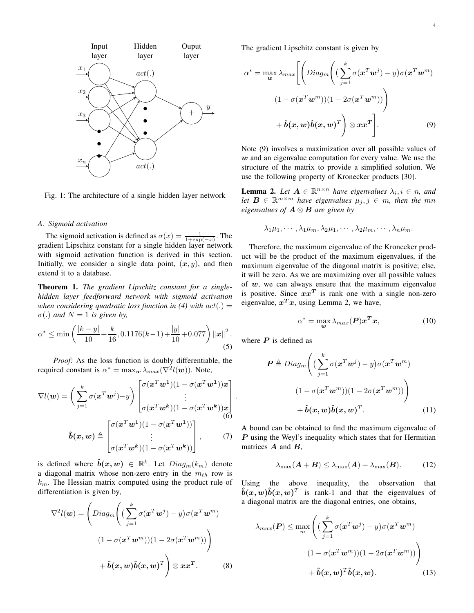

Fig. 1: The architecture of a single hidden layer network

#### *A. Sigmoid activation*

The sigmoid activation is defined as  $\sigma(x) = \frac{1}{1 + \exp(-x)}$ . The gradient Lipschitz constant for a single hidden layer network with sigmoid activation function is derived in this section. Initially, we consider a single data point,  $(x, y)$ , and then extend it to a database.

Theorem 1. *The gradient Lipschitz constant for a singlehidden layer feedforward network with sigmoid activation when considering quadratic loss function in (4) with*  $act(.) =$  $\sigma(.)$  *and*  $N = 1$  *is given by,* 

$$
\alpha^* \le \min\left(\frac{|k-y|}{10} + \frac{k}{16}, 0.1176(k-1) + \frac{|y|}{10} + 0.077\right) ||x||^2.
$$
\n(5)

*Proof:* As the loss function is doubly differentiable, the required constant is  $\alpha^* = \max_{\mathbf{w}} \lambda_{max}(\nabla^2 l(\mathbf{w}))$ . Note,

$$
\nabla l(\boldsymbol{w}) = \left(\sum_{j=1}^{k} \sigma(\boldsymbol{x}^{T}\boldsymbol{w}^{j}) - y\right) \begin{bmatrix} \sigma(\boldsymbol{x}^{T}\boldsymbol{w}^{1})(1 - \sigma(\boldsymbol{x}^{T}\boldsymbol{w}^{1}))\boldsymbol{x} \\ \vdots \\ \sigma(\boldsymbol{x}^{T}\boldsymbol{w}^{k})(1 - \sigma(\boldsymbol{x}^{T}\boldsymbol{w}^{k}))\boldsymbol{x} \end{bmatrix}.
$$

$$
\hat{b}(\boldsymbol{x}, \boldsymbol{w}) \triangleq \begin{bmatrix} \sigma(\boldsymbol{x}^{T}\boldsymbol{w}^{1})(1 - \sigma(\boldsymbol{x}^{T}\boldsymbol{w}^{1})) \\ \vdots \\ \sigma(\boldsymbol{x}^{T}\boldsymbol{w}^{k})(1 - \sigma(\boldsymbol{x}^{T}\boldsymbol{w}^{k})) \end{bmatrix}, \qquad (7)
$$

is defined where  $\hat{b}(x,w) \in \mathbb{R}^k$ . Let  $Diag_m(k_m)$  denote a diagonal matrix whose non-zero entry in the  $m_{th}$  row is  $k<sub>m</sub>$ . The Hessian matrix computed using the product rule of differentiation is given by,

$$
\nabla^2 l(\boldsymbol{w}) = \left( Diag_m \left( \left( \sum_{j=1}^k \sigma(\boldsymbol{x}^T \boldsymbol{w}^j) - y \right) \sigma(\boldsymbol{x}^T \boldsymbol{w}^m) \right) \right. \\
 (1 - \sigma(\boldsymbol{x}^T \boldsymbol{w}^m)) (1 - 2\sigma(\boldsymbol{x}^T \boldsymbol{w}^m)) \right) \\
 + \hat{b}(\boldsymbol{x}, \boldsymbol{w}) \hat{b}(\boldsymbol{x}, \boldsymbol{w})^T \right) \otimes \boldsymbol{x} \boldsymbol{x}^T.
$$
\n(8)

The gradient Lipschitz constant is given by

$$
\alpha^* = \max_{\mathbf{w}} \lambda_{max} \left[ \left( Diag_m \left( \left( \sum_{j=1}^k \sigma(\mathbf{x}^T \mathbf{w}^j) - y \right) \sigma(\mathbf{x}^T \mathbf{w}^m) \right) \right. \right. \left. (1 - \sigma(\mathbf{x}^T \mathbf{w}^m)) (1 - 2\sigma(\mathbf{x}^T \mathbf{w}^m)) \right) \right] \newline + \hat{\mathbf{b}}(\mathbf{x}, \mathbf{w}) \hat{\mathbf{b}}(\mathbf{x}, \mathbf{w})^T \right) \otimes \mathbf{x} \mathbf{x}^T \bigg]. \tag{9}
$$

Note (9) involves a maximization over all possible values of  $w$  and an eigenvalue computation for every value. We use the structure of the matrix to provide a simplified solution. We use the following property of Kronecker products [30].

**Lemma 2.** Let  $A \in \mathbb{R}^{n \times n}$  have eigenvalues  $\lambda_i, i \in n$ , and *let*  $B \in \mathbb{R}^{m \times m}$  *have eigenvalues*  $\mu_j, j \in m$ *, then the mn eigenvalues of* A ⊗ B *are given by*

$$
\lambda_1\mu_1,\cdots,\lambda_1\mu_m,\lambda_2\mu_1,\cdots,\lambda_2\mu_m,\cdots,\lambda_n\mu_m.
$$

Therefore, the maximum eigenvalue of the Kronecker product will be the product of the maximum eigenvalues, if the maximum eigenvalue of the diagonal matrix is positive; else, it will be zero. As we are maximizing over all possible values of  $w$ , we can always ensure that the maximum eigenvalue is positive. Since  $xx^T$  is rank one with a single non-zero eigenvalue,  $x^T x$ , using Lemma 2, we have,

$$
\alpha^* = \max_{\mathbf{w}} \lambda_{max}(\mathbf{P}) \mathbf{x}^T \mathbf{x},\tag{10}
$$

where  $P$  is defined as

$$
\boldsymbol{P} \triangleq Diag_m \Bigg( \Big( \sum_{j=1}^{k} \sigma(\boldsymbol{x}^T \boldsymbol{w}^j) - y \Big) \sigma(\boldsymbol{x}^T \boldsymbol{w}^m)
$$

$$
(1 - \sigma(\boldsymbol{x}^T \boldsymbol{w}^m)) (1 - 2\sigma(\boldsymbol{x}^T \boldsymbol{w}^m)) \Bigg)
$$

$$
+ \hat{\boldsymbol{b}}(\boldsymbol{x}, \boldsymbol{w}) \hat{\boldsymbol{b}}(\boldsymbol{x}, \boldsymbol{w})^T. \tag{11}
$$

A bound can be obtained to find the maximum eigenvalue of  $P$  using the Weyl's inequality which states that for Hermitian matrices  $A$  and  $B$ ,

$$
\lambda_{\max}(\boldsymbol{A} + \boldsymbol{B}) \leq \lambda_{\max}(\boldsymbol{A}) + \lambda_{\max}(\boldsymbol{B}). \tag{12}
$$

Using the above inequality, the observation that  $\hat{b}(x, w)\hat{b}(x, w)^T$  is rank-1 and that the eigenvalues of a diagonal matrix are the diagonal entries, one obtains,

$$
\lambda_{max}(\boldsymbol{P}) \le \max_{m} \left( \left( \sum_{j=1}^{k} \sigma(\boldsymbol{x}^{T}\boldsymbol{w}^{j}) - y \right) \sigma(\boldsymbol{x}^{T}\boldsymbol{w}^{m}) \right)
$$

$$
(1 - \sigma(\boldsymbol{x}^{T}\boldsymbol{w}^{m})) (1 - 2\sigma(\boldsymbol{x}^{T}\boldsymbol{w}^{m}))
$$

$$
+ \hat{\boldsymbol{b}}(\boldsymbol{x}, \boldsymbol{w})^{T} \hat{\boldsymbol{b}}(\boldsymbol{x}, \boldsymbol{w}). \tag{13}
$$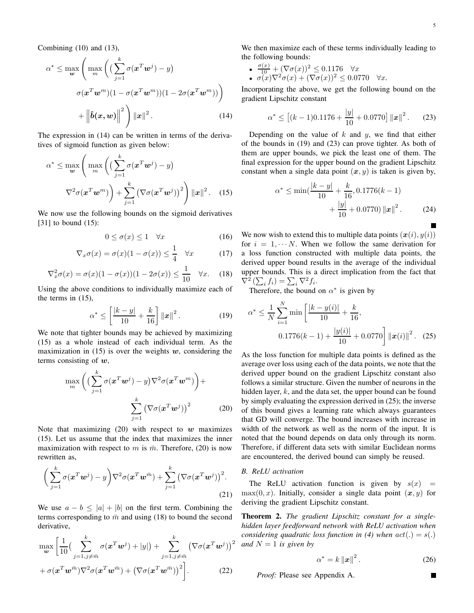$$
\alpha^* \leq \max_{\mathbf{w}} \left( \max_m \left( \left( \sum_{j=1}^k \sigma(\mathbf{x}^T \mathbf{w}^j) - y \right) \right) \right)
$$

$$
\sigma(\mathbf{x}^T \mathbf{w}^m)(1 - \sigma(\mathbf{x}^T \mathbf{w}^m))(1 - 2\sigma(\mathbf{x}^T \mathbf{w}^m)) \right)
$$

$$
+ \left\| \hat{b}(\mathbf{x}, \mathbf{w}) \right\|^2 \right) \|\mathbf{x}\|^2. \tag{14}
$$

The expression in (14) can be written in terms of the derivatives of sigmoid function as given below:

$$
\alpha^* \leq \max_{\mathbf{w}} \left( \max_m \left( \left( \sum_{j=1}^k \sigma(\mathbf{x}^T \mathbf{w}^j) - y \right) \nabla^2 \sigma(\mathbf{x}^T \mathbf{w}^m) \right) + \sum_{j=1}^k \left( \nabla \sigma(\mathbf{x}^T \mathbf{w}^j) \right)^2 \right) ||\mathbf{x}||^2. \quad (15)
$$

We now use the following bounds on the sigmoid derivatives [31] to bound (15):

$$
0 \le \sigma(x) \le 1 \quad \forall x \tag{16}
$$

$$
\nabla_x \sigma(x) = \sigma(x)(1 - \sigma(x)) \le \frac{1}{4} \quad \forall x \tag{17}
$$

$$
\nabla_x^2 \sigma(x) = \sigma(x)(1 - \sigma(x))(1 - 2\sigma(x)) \le \frac{1}{10} \quad \forall x. \quad (18)
$$

Using the above conditions to individually maximize each of the terms in (15),

$$
\alpha^* \le \left[ \frac{|k-y|}{10} + \frac{k}{16} \right] ||x||^2.
$$
 (19)

We note that tighter bounds may be achieved by maximizing (15) as a whole instead of each individual term. As the maximization in  $(15)$  is over the weights w, considering the terms consisting of  $w$ ,

$$
\max_{m} \left( \left( \sum_{j=1}^{k} \sigma(\mathbf{x}^{T} \mathbf{w}^{j}) - y \right) \nabla^{2} \sigma(\mathbf{x}^{T} \mathbf{w}^{m}) \right) + \sum_{j=1}^{k} \left( \nabla \sigma(\mathbf{x}^{T} \mathbf{w}^{j}) \right)^{2} \tag{20}
$$

Note that maximizing  $(20)$  with respect to w maximizes (15). Let us assume that the index that maximizes the inner maximization with respect to m is  $\bar{m}$ . Therefore, (20) is now rewritten as,

$$
\left(\sum_{j=1}^{k} \sigma(\mathbf{x}^{T} \mathbf{w}^{j}) - y\right) \nabla^{2} \sigma(\mathbf{x}^{T} \mathbf{w}^{\bar{m}}) + \sum_{j=1}^{k} \left(\nabla \sigma(\mathbf{x}^{T} \mathbf{w}^{j})\right)^{2}.
$$
\n(21)

We use  $a - b \leq |a| + |b|$  on the first term. Combining the terms corresponding to  $\bar{m}$  and using (18) to bound the second derivative,

$$
\max_{\mathbf{w}} \left[ \frac{1}{10} \left( \sum_{j=1, j \neq \bar{m}}^{k} \sigma(\mathbf{x}^{T} \mathbf{w}^{j}) + |y| \right) + \sum_{j=1, j \neq \bar{m}}^{k} \left( \nabla \sigma(\mathbf{x}^{T} \mathbf{w}^{j}) \right)^{2} + \sigma(\mathbf{x}^{T} \mathbf{w}^{\bar{m}}) \nabla^{2} \sigma(\mathbf{x}^{T} \mathbf{w}^{\bar{m}}) + \left( \nabla \sigma(\mathbf{x}^{T} \mathbf{w}^{\bar{m}}) \right)^{2} \right].
$$
\n(22)

We then maximize each of these terms individually leading to the following bounds:

• 
$$
\frac{\sigma(x)}{10} + (\nabla \sigma(x))^2 \le 0.1176 \quad \forall x
$$
  
• 
$$
\sigma(x)\nabla^2 \sigma(x) + (\nabla \sigma(x))^2 \le 0.0770 \quad \forall x.
$$

Incorporating the above, we get the following bound on the gradient Lipschitz constant

$$
\alpha^* \le \left[ (k-1)0.1176 + \frac{|y|}{10} + 0.0770 \right] ||x||^2. \tag{23}
$$

Depending on the value of  $k$  and  $y$ , we find that either of the bounds in (19) and (23) can prove tighter. As both of them are upper bounds, we pick the least one of them. The final expression for the upper bound on the gradient Lipschitz constant when a single data point  $(x, y)$  is taken is given by,

$$
\alpha^* \le \min\left(\frac{|k-y|}{10} + \frac{k}{16}, 0.1776(k-1) + \frac{|y|}{10} + 0.0770\right) ||x||^2.
$$
 (24)

We now wish to extend this to multiple data points  $(x(i), y(i))$ for  $i = 1, \dots, N$ . When we follow the same derivation for a loss function constructed with multiple data points, the derived upper bound results in the average of the individual upper bounds. This is a direct implication from the fact that  $\nabla^2 \left( \sum_i f_i \right) = \sum_i \nabla^2 f_i.$ 

Therefore, the bound on  $\alpha^*$  is given by

$$
\alpha^* \le \frac{1}{N} \sum_{i=1}^N \min\left[\frac{|k - y(i)|}{10} + \frac{k}{16}, \right]
$$
  
0.1776(k - 1) +  $\frac{|y(i)|}{10}$  + 0.0770  $||\boldsymbol{x}(i)||^2$ . (25)

As the loss function for multiple data points is defined as the average over loss using each of the data points, we note that the derived upper bound on the gradient Lipschitz constant also follows a similar structure. Given the number of neurons in the hidden layer,  $k$ , and the data set, the upper bound can be found by simply evaluating the expression derived in (25); the inverse of this bound gives a learning rate which always guarantees that GD will converge. The bound increases with increase in width of the network as well as the norm of the input. It is noted that the bound depends on data only through its norm. Therefore, if different data sets with similar Euclidean norms are encountered, the derived bound can simply be reused.

# *B. ReLU activation*

The ReLU activation function is given by  $s(x) =$  $max(0, x)$ . Initially, consider a single data point  $(x, y)$  for deriving the gradient Lipschitz constant.

 $\int^2$  and  $N = 1$  is given by Theorem 2. *The gradient Lipschitz constant for a singlehidden layer feedforward network with ReLU activation when considering quadratic loss function in (4) when*  $act(.) = s(.)$ 

$$
\alpha^* = k \|x\|^2. \tag{26}
$$

г

*Proof:* Please see Appendix A.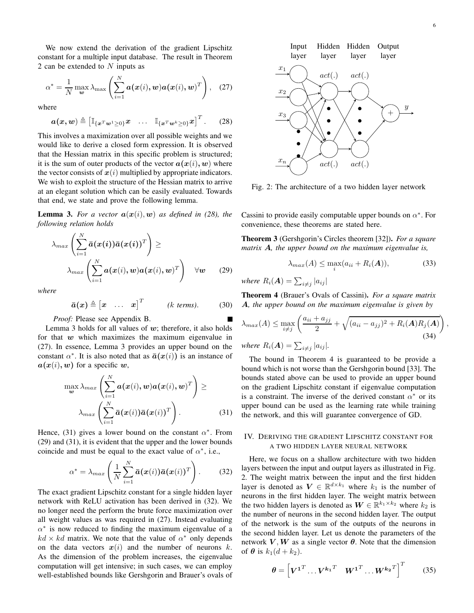We now extend the derivation of the gradient Lipschitz constant for a multiple input database. The result in Theorem 2 can be extended to  $N$  inputs as

$$
\alpha^* = \frac{1}{N} \max_{\boldsymbol{w}} \lambda_{\max} \left( \sum_{i=1}^N \boldsymbol{a}(\boldsymbol{x}(i), \boldsymbol{w}) \boldsymbol{a}(\boldsymbol{x}(i), \boldsymbol{w})^T \right), \quad (27)
$$

where

$$
\boldsymbol{a}(\boldsymbol{x},\boldsymbol{w}) \triangleq \begin{bmatrix} \mathbb{I}_{\{\boldsymbol{x}^T\boldsymbol{w}^1\geq 0\}}\boldsymbol{x} & \dots & \mathbb{I}_{\{\boldsymbol{x}^T\boldsymbol{w}^k\geq 0\}}\boldsymbol{x}\end{bmatrix}^T. \qquad (28)
$$

This involves a maximization over all possible weights and we would like to derive a closed form expression. It is observed that the Hessian matrix in this specific problem is structured; it is the sum of outer products of the vector  $a(x(i), w)$  where the vector consists of  $x(i)$  multiplied by appropriate indicators. We wish to exploit the structure of the Hessian matrix to arrive at an elegant solution which can be easily evaluated. Towards that end, we state and prove the following lemma.

**Lemma 3.** For a vector  $a(x(i), w)$  as defined in (28), the *following relation holds*

$$
\lambda_{max} \left( \sum_{i=1}^{N} \bar{a}(x(i)) \bar{a}(x(i))^T \right) \ge
$$
\n
$$
\lambda_{max} \left( \sum_{i=1}^{N} a(x(i), w) a(x(i), w)^T \right) \quad \forall w \qquad (29)
$$

*where*

$$
\bar{a}(x) \triangleq [x \quad \dots \quad x]^T \quad (k \text{ terms}). \quad (30)
$$

*Proof:* Please see Appendix B.

Lemma 3 holds for all values of  $w$ ; therefore, it also holds for that  $w$  which maximizes the maximum eigenvalue in (27). In essence, Lemma 3 provides an upper bound on the constant  $\alpha^*$ . It is also noted that as  $\bar{a}(x(i))$  is an instance of  $a(x(i), w)$  for a specific w,

$$
\max_{\boldsymbol{w}} \lambda_{max} \left( \sum_{i=1}^{N} \boldsymbol{a}(\boldsymbol{x}(i), \boldsymbol{w}) \boldsymbol{a}(\boldsymbol{x}(i), \boldsymbol{w})^T \right) \geq \lambda_{max} \left( \sum_{i=1}^{N} \boldsymbol{\bar{a}}(\boldsymbol{x}(i)) \boldsymbol{\bar{a}}(\boldsymbol{x}(i))^T \right).
$$
 (31)

Hence, (31) gives a lower bound on the constant  $\alpha^*$ . From (29) and (31), it is evident that the upper and the lower bounds coincide and must be equal to the exact value of  $\alpha^*$ , i.e.,

$$
\alpha^* = \lambda_{max} \left( \frac{1}{N} \sum_{i=1}^N \bar{a}(x(i)) \bar{a}(x(i))^T \right).
$$
 (32)

The exact gradient Lipschitz constant for a single hidden layer network with ReLU activation has been derived in (32). We no longer need the perform the brute force maximization over all weight values as was required in (27). Instead evaluating  $\alpha^*$  is now reduced to finding the maximum eigenvalue of a  $kd \times kd$  matrix. We note that the value of  $\alpha^*$  only depends on the data vectors  $x(i)$  and the number of neurons k. As the dimension of the problem increases, the eigenvalue computation will get intensive; in such cases, we can employ well-established bounds like Gershgorin and Brauer's ovals of



Fig. 2: The architecture of a two hidden layer network

Cassini to provide easily computable upper bounds on  $\alpha^*$ . For convenience, these theorems are stated here.

Theorem 3 (Gershgorin's Circles theorem [32]). *For a square matrix* A*, the upper bound on the maximum eigenvalue is,*

$$
\lambda_{max}(A) \le \max_{i}(a_{ii} + R_i(A)), \tag{33}
$$

where  $R_i(\boldsymbol{A}) = \sum_{i \neq j} |a_{ij}|$ 

Theorem 4 (Brauer's Ovals of Cassini). *For a square matrix* A*, the upper bound on the maximum eigenvalue is given by*

$$
\lambda_{max}(A) \le \max_{i \ne j} \left( \frac{a_{ii} + a_{jj}}{2} + \sqrt{(a_{ii} - a_{jj})^2 + R_i(A)R_j(A)} \right),
$$
  
where  $R_i(A) = \sum_{i \ne j} |a_{ij}|.$  (34)

The bound in Theorem 4 is guaranteed to be provide a bound which is not worse than the Gershgorin bound [33]. The bounds stated above can be used to provide an upper bound on the gradient Lipschitz constant if eigenvalue computation is a constraint. The inverse of the derived constant  $\alpha^*$  or its upper bound can be used as the learning rate while training the network, and this will guarantee convergence of GD.

### IV. DERIVING THE GRADIENT LIPSCHITZ CONSTANT FOR A TWO HIDDEN LAYER NEURAL NETWORK

Here, we focus on a shallow architecture with two hidden layers between the input and output layers as illustrated in Fig. 2. The weight matrix between the input and the first hidden layer is denoted as  $V \in \mathbb{R}^{d \times k_1}$  where  $k_1$  is the number of neurons in the first hidden layer. The weight matrix between the two hidden layers is denoted as  $W \in \mathbb{R}^{k_1 \times k_2}$  where  $k_2$  is the number of neurons in the second hidden layer. The output of the network is the sum of the outputs of the neurons in the second hidden layer. Let us denote the parameters of the network  $V, W$  as a single vector  $\theta$ . Note that the dimension of  $\theta$  is  $k_1(d+k_2)$ .

$$
\boldsymbol{\theta} = \begin{bmatrix} \boldsymbol{V}^{1^T} \dots \boldsymbol{V}^{k_1^T} & \boldsymbol{W}^{1^T} \dots \boldsymbol{W}^{k_2^T} \end{bmatrix}^T \qquad (35)
$$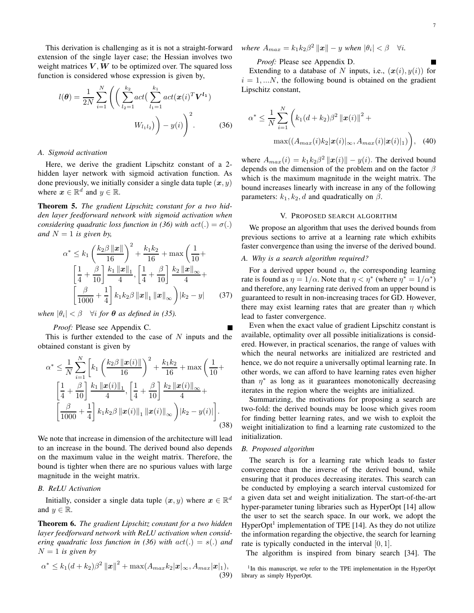This derivation is challenging as it is not a straight-forward extension of the single layer case; the Hessian involves two weight matrices  $V, W$  to be optimized over. The squared loss function is considered whose expression is given by,

$$
l(\boldsymbol{\theta}) = \frac{1}{2N} \sum_{i=1}^{N} \left( \left( \sum_{l_2=1}^{k_2} act(\sum_{l_1=1}^{k_1} act(\boldsymbol{x}(i)^T \boldsymbol{V^{l_1}}) \right) - y(i) \right)^2.
$$
 (36)

# *A. Sigmoid activation*

Here, we derive the gradient Lipschitz constant of a 2 hidden layer network with sigmoid activation function. As done previously, we initially consider a single data tuple  $(x, y)$ where  $x \in \mathbb{R}^d$  and  $y \in \mathbb{R}$ .

Theorem 5. *The gradient Lipschitz constant for a two hidden layer feedforward network with sigmoid activation when considering quadratic loss function in (36) with*  $act(.) = \sigma(.)$ *and*  $N = 1$  *is given by,* 

$$
\alpha^* \le k_1 \left(\frac{k_2 \beta ||x||}{16}\right)^2 + \frac{k_1 k_2}{16} + \max\left(\frac{1}{10} + \left[\frac{1}{4} + \frac{\beta}{10}\right] \frac{k_1 ||x||_1}{4}, \left[\frac{1}{4} + \frac{\beta}{10}\right] \frac{k_2 ||x||_{\infty}}{4} + \left[\frac{\beta}{1000} + \frac{1}{4}\right] k_1 k_2 \beta ||x||_1 ||x||_{\infty} \right) |k_2 - y| \qquad (37)
$$

*when*  $|\theta_i| < \beta$   $\forall i$  *for*  $\theta$  *as defined in (35).* 

## *Proof:* Please see Appendix C.

This is further extended to the case of  $N$  inputs and the obtained constant is given by

$$
\alpha^* \leq \frac{1}{N} \sum_{i=1}^N \left[ k_1 \left( \frac{k_2 \beta \left\| \boldsymbol{x}(i) \right\|}{16} \right)^2 + \frac{k_1 k_2}{16} + \max \left( \frac{1}{10} + \left[ \frac{1}{4} + \frac{\beta}{10} \right] \frac{k_1 \left\| \boldsymbol{x}(i) \right\|_1}{4}, \left[ \frac{1}{4} + \frac{\beta}{10} \right] \frac{k_2 \left\| \boldsymbol{x}(i) \right\|_\infty}{4} + \left[ \frac{\beta}{1000} + \frac{1}{4} \right] k_1 k_2 \beta \left\| \boldsymbol{x}(i) \right\|_1 \left\| \boldsymbol{x}(i) \right\|_\infty \right) \left| k_2 - y(i) \right| \right].
$$
\n(38)

We note that increase in dimension of the architecture will lead to an increase in the bound. The derived bound also depends on the maximum value in the weight matrix. Therefore, the bound is tighter when there are no spurious values with large magnitude in the weight matrix.

# *B. ReLU Activation*

Initially, consider a single data tuple  $(x, y)$  where  $x \in \mathbb{R}^d$ and  $y \in \mathbb{R}$ .

Theorem 6. *The gradient Lipschitz constant for a two hidden layer feedforward network with ReLU activation when considering quadratic loss function in (36) with* act(.) = s(.) *and*  $N = 1$  *is given by* 

$$
\alpha^* \leq k_1(d+k_2)\beta^2 \left\|\mathbf{x}\right\|^2 + \max(A_{max}k_2|\mathbf{x}|_{\infty}, A_{max}|\mathbf{x}|_1),
$$
\n(39)

 $where A_{max} = k_1 k_2 \beta^2 ||\mathbf{x}|| - y$  when  $|\theta_i| < \beta$   $\forall i$ .

*Proof:* Please see Appendix D.

Extending to a database of N inputs, i.e.,  $(x(i), y(i))$  for  $i = 1, \ldots N$ , the following bound is obtained on the gradient Lipschitz constant,

$$
\alpha^* \leq \frac{1}{N} \sum_{i=1}^N \left( k_1 (d + k_2) \beta^2 \left\| \boldsymbol{x}(i) \right\|^2 + \max((A_{max}(i) k_2 | \boldsymbol{x}(i)|_{\infty}, A_{max}(i) | \boldsymbol{x}(i)|_1) \right), \quad (40)
$$

where  $A_{max}(i) = k_1 k_2 \beta^2 ||x(i)|| - y(i)$ . The derived bound depends on the dimension of the problem and on the factor  $\beta$ which is the maximum magnitude in the weight matrix. The bound increases linearly with increase in any of the following parameters:  $k_1$ ,  $k_2$ , d and quadratically on  $\beta$ .

### V. PROPOSED SEARCH ALGORITHM

We propose an algorithm that uses the derived bounds from previous sections to arrive at a learning rate which exhibits faster convergence than using the inverse of the derived bound.

# *A. Why is a search algorithm required?*

For a derived upper bound  $\alpha$ , the corresponding learning rate is found as  $\eta = 1/\alpha$ . Note that  $\eta < \eta^*$  (where  $\eta^* = 1/\alpha^*$ ) and therefore, any learning rate derived from an upper bound is guaranteed to result in non-increasing traces for GD. However, there may exist learning rates that are greater than  $\eta$  which lead to faster convergence.

Even when the exact value of gradient Lipschitz constant is available, optimality over all possible initializations is considered. However, in practical scenarios, the range of values with which the neural networks are initialized are restricted and hence, we do not require a universally optimal learning rate. In other words, we can afford to have learning rates even higher than  $\eta^*$  as long as it guarantees monotonically decreasing iterates in the region where the weights are initialized.

Summarizing, the motivations for proposing a search are two-fold: the derived bounds may be loose which gives room for finding better learning rates, and we wish to exploit the weight initialization to find a learning rate customized to the initialization.

#### *B. Proposed algorithm*

The search is for a learning rate which leads to faster convergence than the inverse of the derived bound, while ensuring that it produces decreasing iterates. This search can be conducted by employing a search interval customized for a given data set and weight initialization. The start-of-the-art hyper-parameter tuning libraries such as HyperOpt [14] allow the user to set the search space. In our work, we adopt the HyperOpt<sup>1</sup> implementation of TPE [14]. As they do not utilize the information regarding the objective, the search for learning rate is typically conducted in the interval  $[0, 1]$ .

The algorithm is inspired from binary search [34]. The

<sup>1</sup>In this manuscript, we refer to the TPE implementation in the HyperOpt library as simply HyperOpt.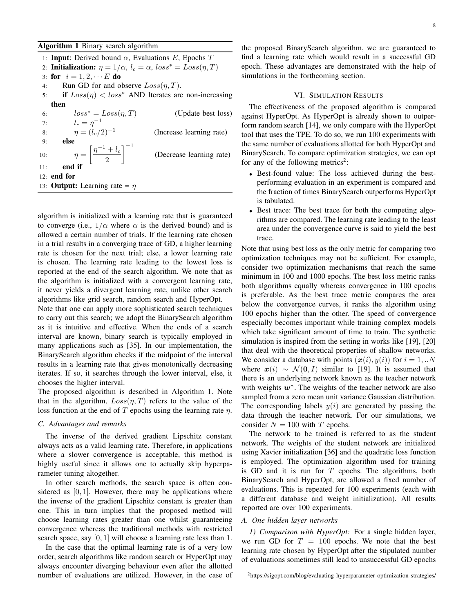Algorithm 1 Binary search algorithm

1: **Input:** Derived bound  $\alpha$ , Evaluations E, Epochs T 2: Initialization:  $\eta = 1/\alpha$ ,  $l_c = \alpha$ ,  $loss^* = Loss(\eta, T)$ 3: for  $i = 1, 2, \cdots E$  do 4: Run GD for and observe  $Loss(n, T)$ . 5: if  $Loss(\eta) < loss^*$  AND Iterates are non-increasing then 6:  $loss^* = Loss(\eta, T)$  (Update best loss) 7:  $l_c = \eta^{-1}$ 8:  $\eta = (l_c/2)^{-1}$ (Increase learning rate) 9: else 10:  $\eta = \left[ \frac{\eta^{-1} + l_c}{2} \right]$ 2  $1^{-1}$ (Decrease learning rate) 11: end if 12: end for 13: **Output:** Learning rate =  $\eta$ 

algorithm is initialized with a learning rate that is guaranteed to converge (i.e.,  $1/\alpha$  where  $\alpha$  is the derived bound) and is allowed a certain number of trials. If the learning rate chosen in a trial results in a converging trace of GD, a higher learning rate is chosen for the next trial; else, a lower learning rate is chosen. The learning rate leading to the lowest loss is reported at the end of the search algorithm. We note that as the algorithm is initialized with a convergent learning rate, it never yields a divergent learning rate, unlike other search algorithms like grid search, random search and HyperOpt.

Note that one can apply more sophisticated search techniques to carry out this search; we adopt the BinarySearch algorithm as it is intuitive and effective. When the ends of a search interval are known, binary search is typically employed in many applications such as [35]. In our implementation, the BinarySearch algorithm checks if the midpoint of the interval results in a learning rate that gives monotonically decreasing iterates. If so, it searches through the lower interval, else, it chooses the higher interval.

The proposed algorithm is described in Algorithm 1. Note that in the algorithm,  $Loss(\eta, T)$  refers to the value of the loss function at the end of T epochs using the learning rate  $\eta$ .

#### *C. Advantages and remarks*

The inverse of the derived gradient Lipschitz constant always acts as a valid learning rate. Therefore, in applications where a slower convergence is acceptable, this method is highly useful since it allows one to actually skip hyperparameter tuning altogether.

In other search methods, the search space is often considered as  $[0, 1]$ . However, there may be applications where the inverse of the gradient Lipschitz constant is greater than one. This in turn implies that the proposed method will choose learning rates greater than one whilst guaranteeing convergence whereas the traditional methods with restricted search space, say  $[0, 1]$  will choose a learning rate less than 1.

In the case that the optimal learning rate is of a very low order, search algorithms like random search or HyperOpt may always encounter diverging behaviour even after the allotted number of evaluations are utilized. However, in the case of the proposed BinarySearch algorithm, we are guaranteed to find a learning rate which would result in a successful GD epoch. These advantages are demonstrated with the help of simulations in the forthcoming section.

# VI. SIMULATION RESULTS

The effectiveness of the proposed algorithm is compared against HyperOpt. As HyperOpt is already shown to outperform random search [14], we only compare with the HyperOpt tool that uses the TPE. To do so, we run 100 experiments with the same number of evaluations allotted for both HyperOpt and BinarySearch. To compare optimization strategies, we can opt for any of the following metrics<sup>2</sup>:

- Best-found value: The loss achieved during the bestperforming evaluation in an experiment is compared and the fraction of times BinarySearch outperforms HyperOpt is tabulated.
- Best trace: The best trace for both the competing algorithms are compared. The learning rate leading to the least area under the convergence curve is said to yield the best trace.

Note that using best loss as the only metric for comparing two optimization techniques may not be sufficient. For example, consider two optimization mechanisms that reach the same minimum in 100 and 1000 epochs. The best loss metric ranks both algorithms equally whereas convergence in 100 epochs is preferable. As the best trace metric compares the area below the convergence curves, it ranks the algorithm using 100 epochs higher than the other. The speed of convergence especially becomes important while training complex models which take significant amount of time to train. The synthetic simulation is inspired from the setting in works like [19], [20] that deal with the theoretical properties of shallow networks. We consider a database with points  $(x(i), y(i))$  for  $i = 1, ...N$ where  $x(i) \sim \mathcal{N}(0, I)$  similar to [19]. It is assumed that there is an underlying network known as the teacher network with weights  $w^*$ . The weights of the teacher network are also sampled from a zero mean unit variance Gaussian distribution. The corresponding labels  $y(i)$  are generated by passing the data through the teacher network. For our simulations, we consider  $N = 100$  with T epochs.

The network to be trained is referred to as the student network. The weights of the student network are initialized using Xavier initialization [36] and the quadratic loss function is employed. The optimization algorithm used for training is GD and it is run for  $T$  epochs. The algorithms, both BinarySearch and HyperOpt, are allowed a fixed number of evaluations. This is repeated for 100 experiments (each with a different database and weight initialization). All results reported are over 100 experiments.

#### *A. One hidden layer networks*

*1) Comparison with HyperOpt:* For a single hidden layer, we run GD for  $T = 100$  epochs. We note that the best learning rate chosen by HyperOpt after the stipulated number of evaluations sometimes still lead to unsuccessful GD epochs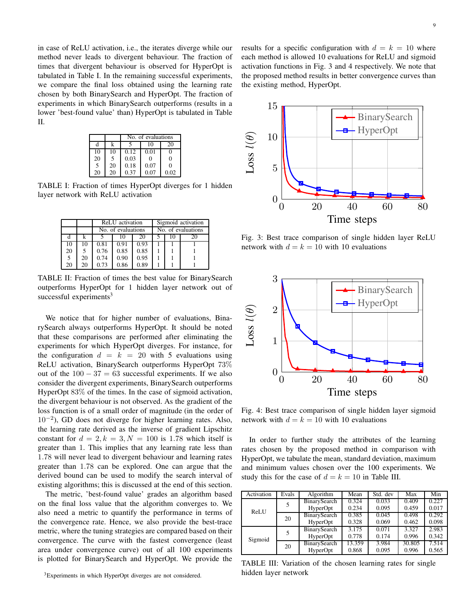in case of ReLU activation, i.e., the iterates diverge while our method never leads to divergent behaviour. The fraction of times that divergent behaviour is observed for HyperOpt is tabulated in Table I. In the remaining successful experiments, we compare the final loss obtained using the learning rate chosen by both BinarySearch and HyperOpt. The fraction of experiments in which BinarySearch outperforms (results in a lower 'best-found value' than) HyperOpt is tabulated in Table II.

|    |    | No. of evaluations |      |          |  |  |
|----|----|--------------------|------|----------|--|--|
| d  | k  |                    | 10   | 20       |  |  |
| 10 | 10 | 0.12               | 0.01 |          |  |  |
| 20 | 5  | 0.03               | 0    | $\Omega$ |  |  |
| 5  | 20 | 0.18               | 0.07 | ∩        |  |  |
| 20 | 20 | 0.37               | 0.07 | 0.02     |  |  |

TABLE I: Fraction of times HyperOpt diverges for 1 hidden layer network with ReLU activation

|    |    | ReLU activation    |      |      | Sigmoid activation |                    |
|----|----|--------------------|------|------|--------------------|--------------------|
|    |    | No. of evaluations |      |      |                    | No. of evaluations |
|    |    |                    |      | 20   |                    | 20                 |
| 10 |    | 0.81               | 0.91 | 0.93 |                    |                    |
| 20 |    | 0.76               | 0.85 | 0.85 |                    |                    |
| -5 | 20 | 0.74               | 0.90 | 0.95 |                    |                    |
| 20 |    | 0.73               | 0.86 | 0.89 |                    |                    |

TABLE II: Fraction of times the best value for BinarySearch outperforms HyperOpt for 1 hidden layer network out of successful experiments $3$ 

We notice that for higher number of evaluations, BinarySearch always outperforms HyperOpt. It should be noted that these comparisons are performed after eliminating the experiments for which HyperOpt diverges. For instance, for the configuration  $d = k = 20$  with 5 evaluations using ReLU activation, BinarySearch outperforms HyperOpt 73% out of the  $100 - 37 = 63$  successful experiments. If we also consider the divergent experiments, BinarySearch outperforms HyperOpt 83% of the times. In the case of sigmoid activation, the divergent behaviour is not observed. As the gradient of the loss function is of a small order of magnitude (in the order of 10−<sup>2</sup> ), GD does not diverge for higher learning rates. Also, the learning rate derived as the inverse of gradient Lipschitz constant for  $d = 2, k = 3, N = 100$  is 1.78 which itself is greater than 1. This implies that any learning rate less than 1.78 will never lead to divergent behaviour and learning rates greater than 1.78 can be explored. One can argue that the derived bound can be used to modify the search interval of existing algorithms; this is discussed at the end of this section.

The metric, 'best-found value' grades an algorithm based on the final loss value that the algorithm converges to. We also need a metric to quantify the performance in terms of the convergence rate. Hence, we also provide the best-trace metric, where the tuning strategies are compared based on their convergence. The curve with the fastest convergence (least area under convergence curve) out of all 100 experiments is plotted for BinarySearch and HyperOpt. We provide the results for a specific configuration with  $d = k = 10$  where each method is allowed 10 evaluations for ReLU and sigmoid activation functions in Fig. 3 and 4 respectively. We note that the proposed method results in better convergence curves than the existing method, HyperOpt.



Fig. 3: Best trace comparison of single hidden layer ReLU network with  $d = k = 10$  with 10 evaluations



Fig. 4: Best trace comparison of single hidden layer sigmoid network with  $d = k = 10$  with 10 evaluations

In order to further study the attributes of the learning rates chosen by the proposed method in comparison with HyperOpt, we tabulate the mean, standard deviation, maximum and minimum values chosen over the 100 experiments. We study this for the case of  $d = k = 10$  in Table III.

| Activation | Evals | Algorithm    | Mean   | Std. dev | Max    | Min   |
|------------|-------|--------------|--------|----------|--------|-------|
|            | 5     | BinarySearch | 0.324  | 0.033    | 0.409  | 0.227 |
| ReLU       |       | HyperOpt     | 0.234  | 0.095    | 0.459  | 0.017 |
|            | 20    | BinarySearch | 0.385  | 0.045    | 0.498  | 0.292 |
|            |       | HyperOpt     | 0.328  | 0.069    | 0.462  | 0.098 |
|            | 5     | BinarySearch | 3.175  | 0.071    | 3.327  | 2.983 |
| Sigmoid    |       | HyperOpt     | 0.778  | 0.174    | 0.996  | 0.342 |
|            | 20    | BinarySearch | 13.359 | 3.984    | 30.805 | 7.514 |
|            |       | HyperOpt     | 0.868  | 0.095    | 0.996  | 0.565 |

TABLE III: Variation of the chosen learning rates for single hidden layer network

<sup>3</sup>Experiments in which HyperOpt diverges are not considered.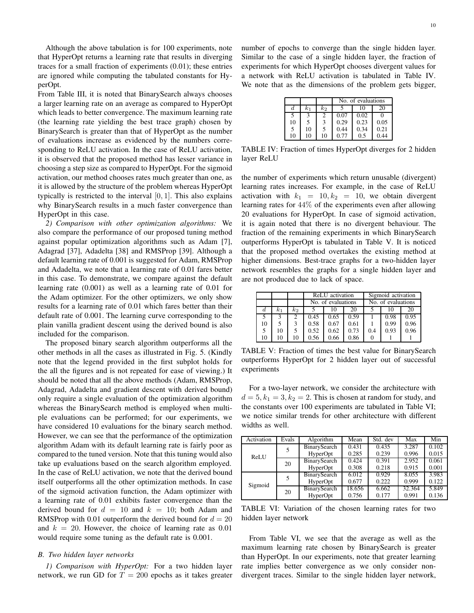Although the above tabulation is for 100 experiments, note that HyperOpt returns a learning rate that results in diverging traces for a small fraction of experiments (0.01); these entries are ignored while computing the tabulated constants for HyperOpt.

From Table III, it is noted that BinarySearch always chooses a larger learning rate on an average as compared to HyperOpt which leads to better convergence. The maximum learning rate (the learning rate yielding the best trace graph) chosen by BinarySearch is greater than that of HyperOpt as the number of evaluations increase as evidenced by the numbers corresponding to ReLU activation. In the case of ReLU activation, it is observed that the proposed method has lesser variance in choosing a step size as compared to HyperOpt. For the sigmoid activation, our method chooses rates much greater than one, as it is allowed by the structure of the problem whereas HyperOpt typically is restricted to the interval  $[0, 1]$ . This also explains why BinarySearch results in a much faster convergence than HyperOpt in this case.

*2) Comparison with other optimization algorithms:* We also compare the performance of our proposed tuning method against popular optimization algorithms such as Adam [7], Adagrad [37], Adadelta [38] and RMSProp [39]. Although a default learning rate of 0.001 is suggested for Adam, RMSProp and Adadelta, we note that a learning rate of 0.01 fares better in this case. To demonstrate, we compare against the default learning rate (0.001) as well as a learning rate of 0.01 for the Adam optimizer. For the other optimizers, we only show results for a learning rate of 0.01 which fares better than their default rate of 0.001. The learning curve corresponding to the plain vanilla gradient descent using the derived bound is also included for the comparison.

The proposed binary search algorithm outperforms all the other methods in all the cases as illustrated in Fig. 5. (Kindly note that the legend provided in the first subplot holds for the all the figures and is not repeated for ease of viewing.) It should be noted that all the above methods (Adam, RMSProp, Adagrad, Adadelta and gradient descent with derived bound) only require a single evaluation of the optimization algorithm whereas the BinarySearch method is employed when multiple evaluations can be performed; for our experiments, we have considered 10 evaluations for the binary search method. However, we can see that the performance of the optimization algorithm Adam with its default learning rate is fairly poor as compared to the tuned version. Note that this tuning would also take up evaluations based on the search algorithm employed. In the case of ReLU activation, we note that the derived bound itself outperforms all the other optimization methods. In case of the sigmoid activation function, the Adam optimizer with a learning rate of 0.01 exhibits faster convergence than the derived bound for  $d = 10$  and  $k = 10$ ; both Adam and RMSProp with 0.01 outperform the derived bound for  $d = 20$ and  $k = 20$ . However, the choice of learning rate as 0.01 would require some tuning as the default rate is 0.001.

#### *B. Two hidden layer networks*

*1) Comparison with HyperOpt:* For a two hidden layer network, we run GD for  $T = 200$  epochs as it takes greater number of epochs to converge than the single hidden layer. Similar to the case of a single hidden layer, the fraction of experiments for which HyperOpt chooses divergent values for a network with ReLU activation is tabulated in Table IV. We note that as the dimensions of the problem gets bigger,

|    |          |       | No. of evaluations |      |      |  |
|----|----------|-------|--------------------|------|------|--|
|    | $_{k_1}$ | $k_2$ |                    | Ю    | 20   |  |
|    |          |       | 0.07               | 0.02 |      |  |
| 10 |          |       | 0.29               | 0.23 | 0.05 |  |
| 5  | 10       |       | 0.44               | 0.34 | 0.21 |  |
| 10 | 10       | 10    | 0.77               | 0.5  | 0.44 |  |

TABLE IV: Fraction of times HyperOpt diverges for 2 hidden layer ReLU

the number of experiments which return unusable (divergent) learning rates increases. For example, in the case of ReLU activation with  $k_1 = 10, k_2 = 10$ , we obtain divergent learning rates for 44% of the experiments even after allowing 20 evaluations for HyperOpt. In case of sigmoid activation, it is again noted that there is no divergent behaviour. The fraction of the remaining experiments in which BinarySearch outperforms HyperOpt is tabulated in Table V. It is noticed that the proposed method overtakes the existing method at higher dimensions. Best-trace graphs for a two-hidden layer network resembles the graphs for a single hidden layer and are not produced due to lack of space.

|    |       |    | ReLU activation    |      |      |     | Sigmoid activation |      |
|----|-------|----|--------------------|------|------|-----|--------------------|------|
|    |       |    | No. of evaluations |      |      |     | No. of evaluations |      |
| d  | $k_1$ | k2 |                    | 10   | 20   |     | 10                 | 20   |
| 5  |       | 2  | 0.45               | 0.65 | 0.59 |     | 0.98               | 0.95 |
| 10 |       | 3  | 0.58               | 0.67 | 0.61 |     | 0.99               | 0.96 |
| 5  | 10    | 5  | 0.52               | 0.62 | 0.73 | 0.4 | 0.93               | 0.96 |
| 10 | 10    | 10 | 0.56               | 0.66 | 0.86 |     |                    |      |

TABLE V: Fraction of times the best value for BinarySearch outperforms HyperOpt for 2 hidden layer out of successful experiments

For a two-layer network, we consider the architecture with  $d = 5, k_1 = 3, k_2 = 2$ . This is chosen at random for study, and the constants over 100 experiments are tabulated in Table VI; we notice similar trends for other architecture with different widths as well.

| Activation | Evals | Algorithm    | Mean   | Std. dev | Max    | Min   |
|------------|-------|--------------|--------|----------|--------|-------|
|            | 5     | BinarySearch | 0.431  | 0.435    | 3.287  | 0.102 |
| ReLU       |       | HyperOpt     | 0.285  | 0.239    | 0.996  | 0.015 |
|            | 20    | BinarySearch | 0.424  | 0.391    | 2.952  | 0.061 |
|            |       | HyperOpt     | 0.308  | 0.218    | 0.915  | 0.001 |
|            | 5     | BinarySearch | 6.012  | 0.929    | 8.055  | 3.983 |
| Sigmoid    |       | HyperOpt     | 0.677  | 0.222    | 0.999  | 0.122 |
|            | 20    | BinarySearch | 18.656 | 6.662    | 32.364 | 5.849 |
|            |       | HyperOpt     | 0.756  | 0.177    | 0.991  | 0.136 |

TABLE VI: Variation of the chosen learning rates for two hidden layer network

From Table VI, we see that the average as well as the maximum learning rate chosen by BinarySearch is greater than HyperOpt. In our experiments, note that greater learning rate implies better convergence as we only consider nondivergent traces. Similar to the single hidden layer network,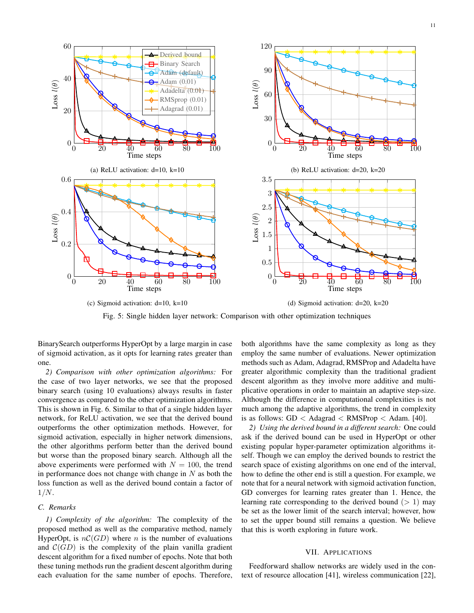11



Fig. 5: Single hidden layer network: Comparison with other optimization techniques

BinarySearch outperforms HyperOpt by a large margin in case of sigmoid activation, as it opts for learning rates greater than one.

*2) Comparison with other optimization algorithms:* For the case of two layer networks, we see that the proposed binary search (using 10 evaluations) always results in faster convergence as compared to the other optimization algorithms. This is shown in Fig. 6. Similar to that of a single hidden layer network, for ReLU activation, we see that the derived bound outperforms the other optimization methods. However, for sigmoid activation, especially in higher network dimensions, the other algorithms perform better than the derived bound but worse than the proposed binary search. Although all the above experiments were performed with  $N = 100$ , the trend in performance does not change with change in  $N$  as both the loss function as well as the derived bound contain a factor of  $1/N$ .

# *C. Remarks*

*1) Complexity of the algorithm:* The complexity of the proposed method as well as the comparative method, namely HyperOpt, is  $nC(GD)$  where n is the number of evaluations and  $\mathcal{C}(GD)$  is the complexity of the plain vanilla gradient descent algorithm for a fixed number of epochs. Note that both these tuning methods run the gradient descent algorithm during each evaluation for the same number of epochs. Therefore, both algorithms have the same complexity as long as they employ the same number of evaluations. Newer optimization methods such as Adam, Adagrad, RMSProp and Adadelta have greater algorithmic complexity than the traditional gradient descent algorithm as they involve more additive and multiplicative operations in order to maintain an adaptive step-size. Although the difference in computational complexities is not much among the adaptive algorithms, the trend in complexity is as follows:  $GD <$  Adagrad  $<$  RMSProp  $<$  Adam. [40].

*2) Using the derived bound in a different search:* One could ask if the derived bound can be used in HyperOpt or other existing popular hyper-parameter optimization algorithms itself. Though we can employ the derived bounds to restrict the search space of existing algorithms on one end of the interval, how to define the other end is still a question. For example, we note that for a neural network with sigmoid activation function, GD converges for learning rates greater than 1. Hence, the learning rate corresponding to the derived bound  $(> 1)$  may be set as the lower limit of the search interval; however, how to set the upper bound still remains a question. We believe that this is worth exploring in future work.

## VII. APPLICATIONS

Feedforward shallow networks are widely used in the context of resource allocation [41], wireless communication [22],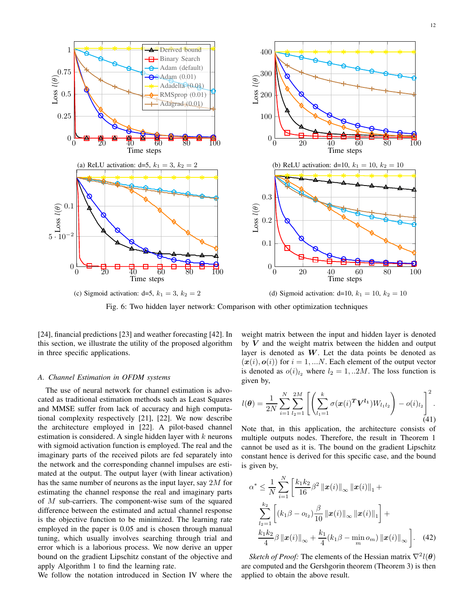

Fig. 6: Two hidden layer network: Comparison with other optimization techniques

[24], financial predictions [23] and weather forecasting [42]. In this section, we illustrate the utility of the proposed algorithm in three specific applications.

#### *A. Channel Estimation in OFDM systems*

The use of neural network for channel estimation is advocated as traditional estimation methods such as Least Squares and MMSE suffer from lack of accuracy and high computational complexity respectively [21], [22]. We now describe the architecture employed in [22]. A pilot-based channel estimation is considered. A single hidden layer with  $k$  neurons with sigmoid activation function is employed. The real and the imaginary parts of the received pilots are fed separately into the network and the corresponding channel impulses are estimated at the output. The output layer (with linear activation) has the same number of neurons as the input layer, say 2M for estimating the channel response the real and imaginary parts of  $M$  sub-carriers. The component-wise sum of the squared difference between the estimated and actual channel response is the objective function to be minimized. The learning rate employed in the paper is 0.05 and is chosen through manual tuning, which usually involves searching through trial and error which is a laborious process. We now derive an upper bound on the gradient Lipschitz constant of the objective and apply Algorithm 1 to find the learning rate.

We follow the notation introduced in Section IV where the

weight matrix between the input and hidden layer is denoted by  $V$  and the weight matrix between the hidden and output layer is denoted as  $W$ . Let the data points be denoted as  $(x(i), o(i))$  for  $i = 1, ...N$ . Each element of the output vector is denoted as  $o(i)_{l_2}$  where  $l_2 = 1, ... 2M$ . The loss function is given by,

$$
l(\boldsymbol{\theta}) = \frac{1}{2N} \sum_{i=1}^{N} \sum_{l_2=1}^{2M} \left[ \left( \sum_{l_1=1}^{k} \sigma(\boldsymbol{x}(i)^T \boldsymbol{V^{l_1}}) W_{l_1 l_2} \right) - o(i)_{l_2} \right]^2.
$$
\n(41)

Note that, in this application, the architecture consists of multiple outputs nodes. Therefore, the result in Theorem 1 cannot be used as it is. The bound on the gradient Lipschitz constant hence is derived for this specific case, and the bound is given by,

$$
\alpha^* \leq \frac{1}{N} \sum_{i=1}^N \left[ \frac{k_1 k_2}{16} \beta^2 \left\| \mathbf{x}(i) \right\|_{\infty} \left\| \mathbf{x}(i) \right\|_1 + \sum_{l_2=1}^{k_2} \left[ \left( k_1 \beta - o_{l_2} \right) \frac{\beta}{10} \left\| \mathbf{x}(i) \right\|_{\infty} \left\| \mathbf{x}(i) \right\|_1 \right] + \frac{k_1 k_2}{4} \beta \left\| \mathbf{x}(i) \right\|_{\infty} + \frac{k_1}{4} (k_1 \beta - \min_m o_m) \left\| \mathbf{x}(i) \right\|_{\infty} \right]. \tag{42}
$$

*Sketch of Proof:* The elements of the Hessian matrix  $\nabla^2 l(\theta)$ are computed and the Gershgorin theorem (Theorem 3) is then applied to obtain the above result.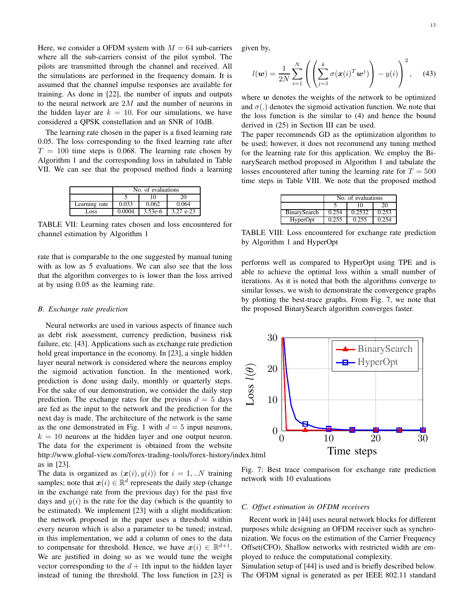Here, we consider a OFDM system with  $M = 64$  sub-carriers where all the sub-carriers consist of the pilot symbol. The pilots are transmitted through the channel and received. All the simulations are performed in the frequency domain. It is assumed that the channel impulse responses are available for training. As done in [22], the number of inputs and outputs to the neural network are  $2M$  and the number of neurons in the hidden layer are  $k = 10$ . For our simulations, we have considered a QPSK constellation and an SNR of 10dB.

The learning rate chosen in the paper is a fixed learning rate 0.05. The loss corresponding to the fixed learning rate after  $T = 100$  time steps is 0.068. The learning rate chosen by Algorithm 1 and the corresponding loss in tabulated in Table VII. We can see that the proposed method finds a learning

|               | No. of evaluations |           |             |  |  |  |
|---------------|--------------------|-----------|-------------|--|--|--|
|               | 10                 |           |             |  |  |  |
| Learning rate | 0.033              | 0.062     | 0.064       |  |  |  |
| Loss          | 0.0004             | $3.53e-6$ | $3.27$ e-23 |  |  |  |

TABLE VII: Learning rates chosen and loss encountered for channel estimation by Algorithm 1

rate that is comparable to the one suggested by manual tuning with as low as 5 evaluations. We can also see that the loss that the algorithm converges to is lower than the loss arrived at by using 0.05 as the learning rate.

#### *B. Exchange rate prediction*

Neural networks are used in various aspects of finance such as debt risk assessment, currency prediction, business risk failure, etc. [43]. Applications such as exchange rate prediction hold great importance in the economy. In [23], a single hidden layer neural network is considered where the neurons employ the sigmoid activation function. In the mentioned work, prediction is done using daily, monthly or quarterly steps. For the sake of our demonstration, we consider the daily step prediction. The exchange rates for the previous  $d = 5$  days are fed as the input to the network and the prediction for the next day is made. The architecture of the network is the same as the one demonstrated in Fig. 1 with  $d = 5$  input neurons,  $k = 10$  neurons at the hidden layer and one output neuron. The data for the experiment is obtained from the website http://www.global-view.com/forex-trading-tools/forex-history/index.html as in [23].

The data is organized as  $(x(i), y(i))$  for  $i = 1, ...N$  training samples; note that  $x(i) \in \mathbb{R}^d$  represents the daily step (change in the exchange rate from the previous day) for the past five days and  $y(i)$  is the rate for the day (which is the quantity to be estimated). We implement [23] with a slight modification: the network proposed in the paper uses a threshold within every neuron which is also a parameter to be tuned; instead, in this implementation, we add a column of ones to the data to compensate for threshold. Hence, we have  $x(i) \in \mathbb{R}^{d+1}$ . We are justified in doing so as we would tune the weight vector corresponding to the  $d + 1$ th input to the hidden layer instead of tuning the threshold. The loss function in [23] is given by,

$$
l(\mathbf{w}) = \frac{1}{2N} \sum_{i=1}^{N} \left( \left( \sum_{j=1}^{k} \sigma(\mathbf{x}(i)^{T} \mathbf{w}^{j}) \right) - y(i) \right)^{2}, \quad (43)
$$

where  $w$  denotes the weights of the network to be optimized and  $\sigma(.)$  denotes the sigmoid activation function. We note that the loss function is the similar to (4) and hence the bound derived in (25) in Section III can be used.

The paper recommends GD as the optimization algorithm to be used; however, it does not recommend any tuning method for the learning rate for this application. We employ the BinarySearch method proposed in Algorithm 1 and tabulate the losses encountered after tuning the learning rate for  $T = 500$ time steps in Table VIII. We note that the proposed method

|              | No. of evaluations |        |       |  |  |
|--------------|--------------------|--------|-------|--|--|
|              | 10<br>20           |        |       |  |  |
| BinarySearch | 0.254              | 0.2532 | 0.253 |  |  |
| HyperOpt     | 0.255              | 0.255  | 0.254 |  |  |

TABLE VIII: Loss encountered for exchange rate prediction by Algorithm 1 and HyperOpt

performs well as compared to HyperOpt using TPE and is able to achieve the optimal loss within a small number of iterations. As it is noted that both the algorithms converge to similar losses, we wish to demonstrate the convergence graphs by plotting the best-trace graphs. From Fig. 7, we note that the proposed BinarySearch algorithm converges faster.



Fig. 7: Best trace comparison for exchange rate prediction network with 10 evaluations

#### *C. Offset estimation in OFDM receivers*

Recent work in [44] uses neural network blocks for different purposes while designing an OFDM receiver such as synchronization. We focus on the estimation of the Carrier Frequency Offset(CFO). Shallow networks with restricted width are employed to reduce the computational complexity.

Simulation setup of [44] is used and is briefly described below. The OFDM signal is generated as per IEEE 802.11 standard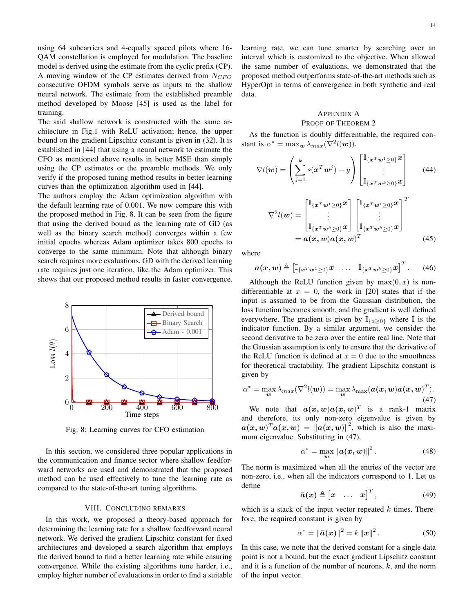using 64 subcarriers and 4-equally spaced pilots where 16- QAM constellation is employed for modulation. The baseline model is derived using the estimate from the cyclic prefix (CP). A moving window of the CP estimates derived from  $N_{CFO}$ consecutive OFDM symbols serve as inputs to the shallow neural network. The estimate from the established preamble method developed by Moose [45] is used as the label for training.

The said shallow network is constructed with the same architecture in Fig.1 with ReLU activation; hence, the upper bound on the gradient Lipschitz constant is given in (32). It is established in [44] that using a neural network to estimate the CFO as mentioned above results in better MSE than simply using the CP estimates or the preamble methods. We only verify if the proposed tuning method results in better learning curves than the optimization algorithm used in [44].

The authors employ the Adam optimization algorithm with the default learning rate of 0.001. We now compare this with the proposed method in Fig. 8. It can be seen from the figure that using the derived bound as the learning rate of GD (as well as the binary search method) converges within a few initial epochs whereas Adam optimizer takes 800 epochs to converge to the same minimum. Note that although binary search requires more evaluations, GD with the derived learning rate requires just one iteration, like the Adam optimizer. This shows that our proposed method results in faster convergence.



Fig. 8: Learning curves for CFO estimation

In this section, we considered three popular applications in the communication and finance sector where shallow feedforward networks are used and demonstrated that the proposed method can be used effectively to tune the learning rate as compared to the state-of-the-art tuning algorithms.

### VIII. CONCLUDING REMARKS

In this work, we proposed a theory-based approach for determining the learning rate for a shallow feedforward neural network. We derived the gradient Lipschitz constant for fixed architectures and developed a search algorithm that employs the derived bound to find a better learning rate while ensuring convergence. While the existing algorithms tune harder, i.e., employ higher number of evaluations in order to find a suitable learning rate, we can tune smarter by searching over an interval which is customized to the objective. When allowed the same number of evaluations, we demonstrated that the proposed method outperforms state-of-the-art methods such as HyperOpt in terms of convergence in both synthetic and real data.

# APPENDIX A PROOF OF THEOREM 2

As the function is doubly differentiable, the required constant is  $\alpha^* = \max_{\mathbf{w}} \lambda_{max}(\nabla^2 l(\mathbf{w}))$ .

$$
\nabla l(\boldsymbol{w}) = \left(\sum_{j=1}^{k} s(\boldsymbol{x}^{T}\boldsymbol{w}^{j}) - y\right) \begin{bmatrix} \mathbb{I}_{\{\boldsymbol{x}^{T}\boldsymbol{w}^{1}\geq0\}}\boldsymbol{x} \\ \vdots \\ \mathbb{I}_{\{\boldsymbol{x}^{T}\boldsymbol{w}^{k}\geq0\}}\boldsymbol{x} \end{bmatrix}
$$
(44)  

$$
\nabla^{2}l(\boldsymbol{w}) = \begin{bmatrix} \mathbb{I}_{\{\boldsymbol{x}^{T}\boldsymbol{w}^{1}\geq0\}}\boldsymbol{x} \\ \vdots \\ \mathbb{I}_{\{\boldsymbol{x}^{T}\boldsymbol{w}^{k}\geq0\}}\boldsymbol{x} \end{bmatrix} \begin{bmatrix} \mathbb{I}_{\{\boldsymbol{x}^{T}\boldsymbol{w}^{1}\geq0\}}\boldsymbol{x} \\ \vdots \\ \mathbb{I}_{\{\boldsymbol{x}^{T}\boldsymbol{w}^{k}\geq0\}}\boldsymbol{x} \end{bmatrix}^{T}
$$

$$
= \boldsymbol{a}(\boldsymbol{x},\boldsymbol{w})\boldsymbol{a}(\boldsymbol{x},\boldsymbol{w})^{T}
$$
(45)

where

$$
\boldsymbol{a}(\boldsymbol{x},\boldsymbol{w}) \triangleq \begin{bmatrix} \mathbb{I}_{\{\boldsymbol{x}^T\boldsymbol{w}^1\geq 0\}}\boldsymbol{x} & \cdots & \mathbb{I}_{\{\boldsymbol{x}^T\boldsymbol{w}^k\geq 0\}}\boldsymbol{x} \end{bmatrix}^T. \qquad (46)
$$

Although the ReLU function given by  $max(0, x)$  is nondifferentiable at  $x = 0$ , the work in [20] states that if the input is assumed to be from the Gaussian distribution, the loss function becomes smooth, and the gradient is well defined everywhere. The gradient is given by  $\mathbb{I}_{\{x>0\}}$  where  $\mathbb I$  is the indicator function. By a similar argument, we consider the second derivative to be zero over the entire real line. Note that the Gaussian assumption is only to ensure that the derivative of the ReLU function is defined at  $x = 0$  due to the smoothness for theoretical tractability. The gradient Lipschitz constant is given by

$$
\alpha^* = \max_{\boldsymbol{w}} \lambda_{max}(\nabla^2 l(\boldsymbol{w})) = \max_{\boldsymbol{w}} \lambda_{\max}(\boldsymbol{a}(\boldsymbol{x}, \boldsymbol{w})\boldsymbol{a}(\boldsymbol{x}, \boldsymbol{w})^T).
$$
\n(47)

We note that  $a(x, w)a(x, w)^T$  is a rank-1 matrix and therefore, its only non-zero eigenvalue is given by  $a(x, w)^T a(x, w) = ||a(x, w)||^2$ , which is also the maximum eigenvalue. Substituting in (47),

$$
\alpha^* = \max_{\boldsymbol{w}} \left\| \boldsymbol{a}(\boldsymbol{x}, \boldsymbol{w}) \right\|^2. \tag{48}
$$

The norm is maximized when all the entries of the vector are non-zero, i.e., when all the indicators correspond to 1. Let us define

$$
\bar{a}(x) \triangleq \begin{bmatrix} x & \dots & x \end{bmatrix}^T, \tag{49}
$$

which is a stack of the input vector repeated  $k$  times. Therefore, the required constant is given by

$$
\alpha^* = \|\bar{a}(x)\|^2 = k \|x\|^2. \tag{50}
$$

In this case, we note that the derived constant for a single data point is not a bound, but the exact gradient Lipschitz constant and it is a function of the number of neurons,  $k$ , and the norm of the input vector.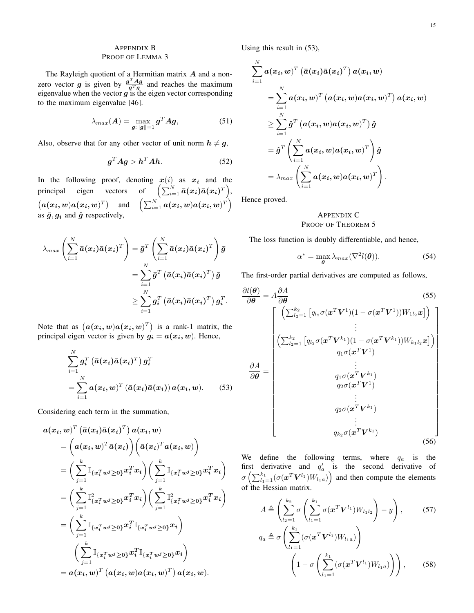# APPENDIX B PROOF OF LEMMA 3

The Rayleigh quotient of a Hermitian matrix A and a nonzero vector g is given by  $\frac{g^T A g}{g^T g}$  and reaches the maximum eigenvalue when the vector  $g$  is the eigen vector corresponding to the maximum eigenvalue [46].

$$
\lambda_{max}(\boldsymbol{A}) = \max_{\boldsymbol{g}: \|\boldsymbol{g}\|=1} \boldsymbol{g}^T \boldsymbol{A} \boldsymbol{g},\tag{51}
$$

Also, observe that for any other vector of unit norm  $h \neq g$ ,

$$
g^T A g > h^T A h. \tag{52}
$$

In the following proof, denoting  $x(i)$  as  $x_i$  and the principal eigen vectors of  $\Big(\sum_{i=1}^N \bar{a}(x_i)\bar{a}(x_i)^T\Big),$  $\left(\boldsymbol{a}(\boldsymbol{x_i}, \boldsymbol{w})\boldsymbol{a}(\boldsymbol{x_i}, \boldsymbol{w})^T\right)$  and  $\left(\sum_{i=1}^N \boldsymbol{a}(\boldsymbol{x_i}, \boldsymbol{w})\boldsymbol{a}(\boldsymbol{x_i}, \boldsymbol{w})^T\right)$ as  $\bar{g}, g_i$  and  $\hat{g}$  respectively,

$$
\lambda_{max} \left( \sum_{i=1}^N \bar{a}(x_i) \bar{a}(x_i)^T \right) = \bar{g}^T \left( \sum_{i=1}^N \bar{a}(x_i) \bar{a}(x_i)^T \right) \bar{g}
$$
  

$$
= \sum_{i=1}^N \bar{g}^T \left( \bar{a}(x_i) \bar{a}(x_i)^T \right) \bar{g}
$$
  

$$
\geq \sum_{i=1}^N g_i^T \left( \bar{a}(x_i) \bar{a}(x_i)^T \right) g_i^T.
$$

Note that as  $(a(x_i, w)a(x_i, w)^T)$  is a rank-1 matrix, the principal eigen vector is given by  $g_i = a(x_i, w)$ . Hence,

$$
\sum_{i=1}^{N} g_i^T \left( \bar{a}(x_i) \bar{a}(x_i)^T \right) g_i^T
$$
  
= 
$$
\sum_{i=1}^{N} a(x_i, w)^T \left( \bar{a}(x_i) \bar{a}(x_i) \right) a(x_i, w).
$$
 (53)

Considering each term in the summation,

$$
\begin{aligned} a(x_i,w)^T \left( \bar{a}(x_i)\bar{a}(x_i)^T \right) a(x_i,w) \\ & = \bigg(a(x_i,w)^T\bar{a}(x_i) \bigg) \bigg( \bar{a}(x_i)^T a(x_i,w) \bigg) \\ & = \bigg( \sum_{j=1}^k \mathbb{I}_{\{x_i^T w^j \geq 0\}} x_i^T x_i \bigg) \bigg( \sum_{j=1}^k \mathbb{I}_{\{x_i^T w^j \geq 0\}} x_i^T x_i \bigg) \\ & = \bigg( \sum_{j=1}^k \mathbb{I}_{\{x_i^T w^j \geq 0\}}^2 x_i^T x_i \bigg) \bigg( \sum_{j=1}^k \mathbb{I}_{\{x_i^T w^j \geq 0\}}^2 x_i^T x_i \bigg) \\ & = \bigg( \sum_{j=1}^k \mathbb{I}_{\{x_i^T w^j \geq 0\}} x_i^T \mathbb{I}_{\{x_i^T w^j \geq 0\}} x_i \bigg) \\ & \qquad \bigg( \sum_{j=1}^k \mathbb{I}_{\{x_i^T w^j \geq 0\}} x_i^T \mathbb{I}_{\{x_i^T w^j \geq 0\}} x_i \bigg) \\ & = a(x_i,w)^T \left( a(x_i,w) a(x_i,w)^T \right) a(x_i,w). \end{aligned}
$$

Using this result in (53),

$$
\begin{aligned} &\sum_{i=1}^{N} \bm{a}(\bm{x_i},\bm{w})^T \left(\bar{\bm{a}}(\bm{x_i})\bar{\bm{a}}(\bm{x_i})^T\right) \bm{a}(\bm{x_i},\bm{w}) \\ &= \sum_{i=1}^{N} \bm{a}(\bm{x_i},\bm{w})^T \left(\bm{a}(\bm{x_i},\bm{w})\bm{a}(\bm{x_i},\bm{w})^T\right) \bm{a}(\bm{x_i},\bm{w}) \\ &\geq \sum_{i=1}^{N} \hat{\bm{g}}^T \left(\bm{a}(\bm{x_i},\bm{w})\bm{a}(\bm{x_i},\bm{w})^T\right) \hat{\bm{g}} \\ &= \hat{\bm{g}}^T \left(\sum_{i=1}^{N} \bm{a}(\bm{x_i},\bm{w})\bm{a}(\bm{x_i},\bm{w})^T\right) \hat{\bm{g}} \\ &= \lambda_{max} \left(\sum_{i=1}^{N} \bm{a}(\bm{x_i},\bm{w})\bm{a}(\bm{x_i},\bm{w})^T\right). \end{aligned}
$$

Hence proved.

# APPENDIX C PROOF OF THEOREM 5

The loss function is doubly differentiable, and hence,

$$
\alpha^* = \max_{\theta} \lambda_{max}(\nabla^2 l(\theta)).
$$
 (54)

The first-order partial derivatives are computed as follows,

$$
\frac{\partial l(\boldsymbol{\theta})}{\partial \boldsymbol{\theta}} = A \frac{\partial A}{\partial \boldsymbol{\theta}}
$$
(55)  

$$
\begin{bmatrix}\n\left(\sum_{l_2=1}^{k_2} \left[ q_{l_2} \sigma(\boldsymbol{x}^T \boldsymbol{V}^1)(1 - \sigma(\boldsymbol{x}^T \boldsymbol{V}^1)) W_{1l_2} \boldsymbol{x} \right] \right) \\
\vdots \\
\left( \sum_{l_2=1}^{k_2} \left[ q_{l_2} \sigma(\boldsymbol{x}^T \boldsymbol{V}^{k_1})(1 - \sigma(\boldsymbol{x}^T \boldsymbol{V}^{k_1})) W_{k_1 l_2} \boldsymbol{x} \right] \right) \\
q_1 \sigma(\boldsymbol{x}^T \boldsymbol{V}^{k_1}) \\
\vdots \\
\frac{q_1 \sigma(\boldsymbol{x}^T \boldsymbol{V}^{k_1})}{q_2 \sigma(\boldsymbol{x}^T \boldsymbol{V}^{k_1})} \\
\vdots \\
\frac{q_{k_2} \sigma(\boldsymbol{x}^T \boldsymbol{V}^{k_1})}{r_2 \sigma(\boldsymbol{x}^T \boldsymbol{V}^{k_1})}\n\end{bmatrix}
$$
(56)

We define the following terms, where  $q_a$  is the first derivative and  $q'_a$  is the second derivative of  $\sigma\left(\sum_{l_1=1}^{k_1} (\sigma(\bm x^T \bm V^{l_1}) W_{l_1a})\right)$  and then compute the elements of the Hessian matrix.

$$
A \triangleq \left(\sum_{l_2=1}^{k_2} \sigma \left(\sum_{l_1=1}^{k_1} \sigma(\mathbf{x}^T \mathbf{V}^{l_1}) W_{l_1 l_2}\right) - y\right), \qquad (57)
$$
  
\n
$$
q_a \triangleq \sigma \left(\sum_{l_1=1}^{k_1} (\sigma(\mathbf{x}^T \mathbf{V}^{l_1}) W_{l_1 a})\right)
$$
  
\n
$$
\left(1 - \sigma \left(\sum_{l_1=1}^{k_1} (\sigma(\mathbf{x}^T \mathbf{V}^{l_1}) W_{l_1 a})\right)\right), \qquad (58)
$$

 $l_1=1$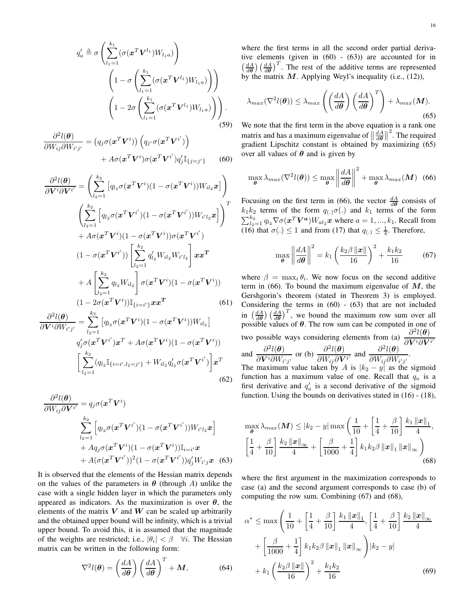$$
q'_a \triangleq \sigma \left( \sum_{l_1=1}^{k_1} (\sigma(\mathbf{x}^T \mathbf{V}^{l_1}) W_{l_1 a}) \right)
$$

$$
\left( 1 - \sigma \left( \sum_{l_1=1}^{k_1} (\sigma(\mathbf{x}^T \mathbf{V}^{l_1}) W_{l_1 a}) \right) \right)
$$

$$
\left( 1 - 2\sigma \left( \sum_{l_1=1}^{k_1} (\sigma(\mathbf{x}^T \mathbf{V}^{l_1}) W_{l_1 a}) \right) \right).
$$
(59)

$$
\frac{\partial^2 l(\boldsymbol{\theta})}{\partial W_{ij}\partial W_{i'j'}} = (q_j \sigma(\mathbf{x}^T \mathbf{V}^i)) (q_{j'} \sigma(\mathbf{x}^T \mathbf{V}^{i'})) + A \sigma(\mathbf{x}^T \mathbf{V}^i) \sigma(\mathbf{x}^T \mathbf{V}^{i'}) q_j' \mathbb{I}_{\{j=j'\}}
$$
(60)

$$
\frac{\partial^2 l(\boldsymbol{\theta})}{\partial \mathbf{V}^i \partial \mathbf{V}^{i'}} = \left( \sum_{l_2=1}^{k_2} \left[ q_{l_2} \sigma(\mathbf{x}^T \mathbf{V}^i) (1 - \sigma(\mathbf{x}^T \mathbf{V}^i)) W_{il_2} \mathbf{x} \right] \right) \left( \sum_{l_2=1}^{k_2} \left[ q_{l_2} \sigma(\mathbf{x}^T \mathbf{V}^{i'})(1 - \sigma(\mathbf{x}^T \mathbf{V}^{i'})) W_{i'l_2} \mathbf{x} \right] \right)^T
$$

$$
+ A \sigma(\mathbf{x}^T \mathbf{V}^i)(1 - \sigma(\mathbf{x}^T \mathbf{V}^i)) \sigma(\mathbf{x}^T \mathbf{V}^{i'})
$$

$$
(1 - \sigma(\mathbf{x}^T \mathbf{V}^{i'})) \left[ \sum_{l_2=1}^{k_2} q_{l_2}^{\prime} W_{il_2} W_{i'l_2} \right] \mathbf{x} \mathbf{x}^T
$$

$$
+ A \left[ \sum_{l_2=1}^{k_2} q_{l_2} W_{il_2} \right] \sigma(\mathbf{x}^T \mathbf{V}^i)(1 - \sigma(\mathbf{x}^T \mathbf{V}^i))
$$

$$
(1 - 2\sigma(\mathbf{x}^T \mathbf{V}^i)) \mathbb{I}_{\{i=i'\}} \mathbf{x} \mathbf{x}^T
$$
(61)

$$
\frac{\partial^2 l(\boldsymbol{\theta})}{\partial \boldsymbol{V}^i \partial W_{i'j'}} = \sum_{l_2=1}^{k_2} \left[ q_{l_2} \sigma(\boldsymbol{x}^T \boldsymbol{V}^i) (1 - \sigma(\boldsymbol{x}^T \boldsymbol{V}^i)) W_{il_2} \right]
$$
  

$$
q_j' \sigma(\boldsymbol{x}^T \boldsymbol{V}^{i'}) \boldsymbol{x}^T + A \sigma(\boldsymbol{x}^T \boldsymbol{V}^i) (1 - \sigma(\boldsymbol{x}^T \boldsymbol{V}^i))
$$
  

$$
\left[ \sum_{l_2=1}^{k_2} (q_{l_2} \mathbb{I}_{\{i=i', l_2=j'\}} + W_{il_2} q_{l_2}' \sigma(\boldsymbol{x}^T \boldsymbol{V}^{i'}) \right] \boldsymbol{x}^T
$$
  
(62)

$$
\frac{\partial^2 l(\boldsymbol{\theta})}{\partial W_{ij} \partial \mathbf{V}^{i'}} = q_j \sigma(\mathbf{x}^T \mathbf{V}^i)
$$
\n
$$
\sum_{l_2=1}^{k_2} \left[ q_{l_2} \sigma(\mathbf{x}^T \mathbf{V}^{i'})(1 - \sigma(\mathbf{x}^T \mathbf{V}^{i'})) W_{i'l_2} \mathbf{x} \right]
$$
\n
$$
+ A q_j \sigma(\mathbf{x}^T \mathbf{V}^i)(1 - \sigma(\mathbf{x}^T \mathbf{V}^i)) \mathbb{I}_{i=i'} \mathbf{x}
$$
\n
$$
+ A(\sigma(\mathbf{x}^T \mathbf{V}^{i'}))^2 (1 - \sigma(\mathbf{x}^T \mathbf{V}^{i'})) q_j' W_{i'j} \mathbf{x} \quad (63)
$$

It is observed that the elements of the Hessian matrix depends on the values of the parameters in  $\theta$  (through A) unlike the case with a single hidden layer in which the parameters only appeared as indicators. As the maximization is over  $\theta$ , the elements of the matrix  $V$  and  $W$  can be scaled up arbitrarily and the obtained upper bound will be infinity, which is a trivial upper bound. To avoid this, it is assumed that the magnitude of the weights are restricted; i.e.,  $|\theta_i| < \beta$   $\forall i$ . The Hessian matrix can be written in the following form:

$$
\nabla^2 l(\boldsymbol{\theta}) = \left(\frac{dA}{d\boldsymbol{\theta}}\right) \left(\frac{dA}{d\boldsymbol{\theta}}\right)^T + \boldsymbol{M},\tag{64}
$$

where the first terms in all the second order partial derivative elements (given in (60) - (63)) are accounted for in  $\left(\frac{dA}{d\theta}\right)\left(\frac{dA}{d\theta}\right)^{T}$ . The rest of the additive terms are represented by the matrix  $M$ . Applying Weyl's inequality (i.e., (12)),

$$
\lambda_{max}(\nabla^2 l(\boldsymbol{\theta})) \le \lambda_{max} \left( \left( \frac{dA}{d\boldsymbol{\theta}} \right) \left( \frac{dA}{d\boldsymbol{\theta}} \right)^T \right) + \lambda_{max}(\boldsymbol{M}).
$$
\n(65)

We note that the first term in the above equation is a rank one matrix and has a maximum eigenvalue of  $\left\| \frac{dA}{d\theta} \right\|$  $2<sup>2</sup>$ . The required gradient Lipschitz constant is obtained by maximizing (65) over all values of  $\theta$  and is given by

$$
\max_{\boldsymbol{\theta}} \lambda_{max}(\nabla^2 l(\boldsymbol{\theta})) \le \max_{\boldsymbol{\theta}} \left\| \frac{dA}{d\boldsymbol{\theta}} \right\|^2 + \max_{\boldsymbol{\theta}} \lambda_{max}(\boldsymbol{M}) \tag{66}
$$

Focusing on the first term in (66), the vector  $\frac{dA}{d\theta}$  consists of  $k_1k_2$  terms of the form  $q_{(.)}\sigma(.)$  and  $k_1$  terms of the form  $\sum_{l_2=1}^{k_2} q_{l_2} \nabla \sigma(\boldsymbol{x}^T \boldsymbol{V^a}) W_{al_2} \boldsymbol{x}$  where  $a = 1, ..., k_1$ . Recall from (16) that  $\sigma(.) \le 1$  and from (17) that  $q(.) \le \frac{1}{4}$ . Therefore,

$$
\max_{\theta} \left\| \frac{dA}{d\theta} \right\|^2 = k_1 \left( \frac{k_2 \beta ||\mathbf{x}||}{16} \right)^2 + \frac{k_1 k_2}{16} \tag{67}
$$

where  $\beta = \max_i \theta_i$ . We now focus on the second additive term in (66). To bound the maximum eigenvalue of  $M$ , the Gershgorin's theorem (stated in Theorem 3) is employed. Considering the terms in (60) - (63) that are not included in  $\left(\frac{dA}{d\theta}\right)\left(\frac{dA}{d\theta}\right)^T$ , we bound the maximum row sum over all possible values of  $\theta$ . The row sum can be computed in one of two possible ways considering elements from (a)  $\frac{\partial^2 l(\theta)}{\partial x^2}$  $\overline{\partial V^i\partial V^{i'}}$ and  $\frac{\partial^2 l(\boldsymbol{\theta})}{\partial \mathbf{V}^{i} \partial \mathbf{W}}$  $\frac{\partial^2 l(\boldsymbol{\theta})}{\partial \boldsymbol{V}^i \partial W_{i'j'}}$  or (b)  $\frac{\partial^2 l(\boldsymbol{\theta})}{\partial W_{ij} \partial \boldsymbol{V}}$  $\frac{\partial^2 l(\bm{\theta})}{\partial W_{ij} \partial \bm{V}^{i'}}$  and  $\frac{\partial^2 l(\bm{\theta})}{\partial W_{ij} \partial W_{ij}}$  $\frac{\partial u(\mathbf{c})}{\partial W_{ij}\partial W_{i'j'}}$ .

The maximum value taken by A is  $|k_2 - y|$  as the sigmoid function has a maximum value of one. Recall that  $q_a$  is a first derivative and  $q'_a$  is a second derivative of the sigmoid function. Using the bounds on derivatives stated in  $(16)$  -  $(18)$ ,

$$
\max_{\theta} \lambda_{max}(M) \le |k_2 - y| \max_{\theta} \left( \frac{1}{10} + \left[ \frac{1}{4} + \frac{\beta}{10} \right] \frac{k_1 ||x||_1}{4}, \right)
$$

$$
\left[ \frac{1}{4} + \frac{\beta}{10} \right] \frac{k_2 ||x||_{\infty}}{4} + \left[ \frac{\beta}{1000} + \frac{1}{4} \right] k_1 k_2 \beta ||x||_1 ||x||_{\infty} \right)
$$
(68)

where the first argument in the maximization corresponds to case (a) and the second argument corresponds to case (b) of computing the row sum. Combining (67) and (68),

$$
\alpha^* \le \max\left(\frac{1}{10} + \left[\frac{1}{4} + \frac{\beta}{10}\right] \frac{k_1 \|\boldsymbol{x}\|_1}{4}, \left[\frac{1}{4} + \frac{\beta}{10}\right] \frac{k_2 \|\boldsymbol{x}\|_\infty}{4} + \left[\frac{\beta}{1000} + \frac{1}{4}\right] k_1 k_2 \beta \|\boldsymbol{x}\|_1 \|\boldsymbol{x}\|_\infty\right) |k_2 - y| + k_1 \left(\frac{k_2 \beta \|\boldsymbol{x}\|}{16}\right)^2 + \frac{k_1 k_2}{16}
$$
(69)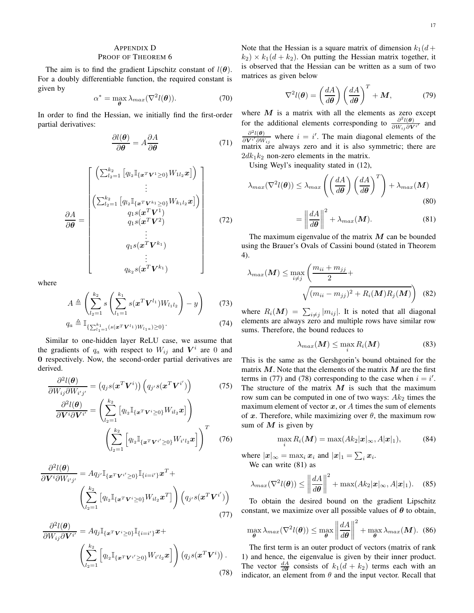# APPENDIX D

## PROOF OF THEOREM 6

The aim is to find the gradient Lipschitz constant of  $l(\theta)$ . For a doubly differentiable function, the required constant is given by

$$
\alpha^* = \max_{\boldsymbol{\theta}} \lambda_{max}(\nabla^2 l(\boldsymbol{\theta})).
$$
 (70)

In order to find the Hessian, we initially find the first-order partial derivatives:

$$
\frac{\partial l(\boldsymbol{\theta})}{\partial \boldsymbol{\theta}} = A \frac{\partial A}{\partial \boldsymbol{\theta}} \tag{71}
$$

$$
\frac{\partial A}{\partial \boldsymbol{\theta}} = \begin{bmatrix}\n\left(\sum_{l_2=1}^{k_2} \left[ q_{l_2} \mathbb{I}_{\{\boldsymbol{x}^T \boldsymbol{V}^1 \geq 0\}} W_{1l_2} \boldsymbol{x} \right] \right) \\
\vdots \\
\left(\sum_{l_2=1}^{k_2} \left[ q_{l_2} \mathbb{I}_{\{\boldsymbol{x}^T \boldsymbol{V}^k \geq 0\}} W_{k_1 l_2} \boldsymbol{x} \right] \right) \\
q_1 s(\boldsymbol{x}^T \boldsymbol{V}^1) \\
q_1 s(\boldsymbol{x}^T \boldsymbol{V}^2) \\
\vdots \\
q_1 s(\boldsymbol{x}^T \boldsymbol{V}^{k_1}) \\
\vdots \\
q_{k_2} s(\boldsymbol{x}^T \boldsymbol{V}^{k_1})\n\end{bmatrix} \tag{72}
$$

where

$$
A \triangleq \left(\sum_{l_2=1}^{k_2} s\left(\sum_{l_1=1}^{k_1} s(\mathbf{x}^T \mathbf{V}^{l_1}) W_{l_1 l_2}\right) - y\right) \tag{73}
$$
  
\n
$$
q_a \triangleq \mathbb{I}_{\{\sum_{l_1=1}^{k_1} (s(\mathbf{x}^T \mathbf{V}^{l_1}) W_{l_1 a}) \ge 0\}}.
$$

Similar to one-hidden layer ReLU case, we assume that the gradients of  $q_a$  with respect to  $W_{ij}$  and  $V^i$  are 0 and 0 respectively. Now, the second-order partial derivatives are derived.

$$
\frac{\partial^2 l(\boldsymbol{\theta})}{\partial W_{ij} \partial W_{i'j'}} = (q_j s(\boldsymbol{x}^T \boldsymbol{V}^i)) (q_{j'} s(\boldsymbol{x}^T \boldsymbol{V}^{i'}))
$$
(75)

$$
\frac{\partial^2 l(\boldsymbol{\theta})}{\partial \boldsymbol{V}^i \partial \boldsymbol{V}^{i'}} = \left( \sum_{l_2=1}^{k_2} \left[ q_{l_2} \mathbb{I}_{\{\boldsymbol{x}^T \boldsymbol{V}^i \ge 0\}} W_{il_2} \boldsymbol{x} \right] \right)
$$

$$
\left( \sum_{l_2=1}^{k_2} \left[ q_{l_2} \mathbb{I}_{\{\boldsymbol{x}^T \boldsymbol{V}^{i'} \ge 0\}} W_{i'l_2} \boldsymbol{x} \right] \right)^T \quad (76)
$$

$$
\frac{\partial^2 l(\boldsymbol{\theta})}{\partial \boldsymbol{V}^i \partial W_{i'j'}} = A q_{j'} \mathbb{I}_{\{\boldsymbol{x}^T \boldsymbol{V}^{i'} \geq 0\}} \mathbb{I}_{\{i=i'\}} \boldsymbol{x}^T + \left(\sum_{l_2=1}^{k_2} \left[q_{l_2} \mathbb{I}_{\{\boldsymbol{x}^T \boldsymbol{V}^i \geq 0\}} W_{il_2} \boldsymbol{x}^T\right]\right) \left(q_{j'} s(\boldsymbol{x}^T \boldsymbol{V}^{i'})\right)
$$
\n(77)

$$
\frac{\partial^2 l(\boldsymbol{\theta})}{\partial W_{ij} \partial \mathbf{V}^{i'}} = A q_j \mathbb{I}_{\{\boldsymbol{x}^T \mathbf{V}^i \ge 0\}} \mathbb{I}_{\{i=i'\}} \boldsymbol{x} + \left( \sum_{l_2=1}^{k_2} \left[ q_{l_2} \mathbb{I}_{\{\boldsymbol{x}^T \mathbf{V}^{i'} \ge 0\}} W_{i'l_2} \boldsymbol{x} \right] \right) \left( q_j s(\boldsymbol{x}^T \mathbf{V}^i) \right). \tag{78}
$$

Note that the Hessian is a square matrix of dimension  $k_1(d +$  $(k_2) \times k_1(d+k_2)$ . On putting the Hessian matrix together, it is observed that the Hessian can be written as a sum of two matrices as given below

$$
\nabla^2 l(\boldsymbol{\theta}) = \left(\frac{dA}{d\boldsymbol{\theta}}\right) \left(\frac{dA}{d\boldsymbol{\theta}}\right)^T + \boldsymbol{M},\tag{79}
$$

where  $M$  is a matrix with all the elements as zero except for the additional elements corresponding to  $\frac{\partial^2 l(\theta)}{\partial W_{\phi} \cdot \partial W_{\phi}}$  $\frac{\partial u(\boldsymbol{\theta})}{\partial W_{ij} \partial \boldsymbol{V}^{i'}}$  and  $\partial^2 l(\boldsymbol{\theta})$  $\frac{\partial^2 l(\theta)}{\partial \mathbf{V}^{i'} \partial W_{ij}}$  where  $i = i'$ . The main diagonal elements of the matrix are always zero and it is also symmetric; there are  $2dk_1k_2$  non-zero elements in the matrix.

Using Weyl's inequality stated in (12),

$$
\lambda_{max}(\nabla^2 l(\boldsymbol{\theta})) \le \lambda_{max} \left( \left( \frac{dA}{d\boldsymbol{\theta}} \right) \left( \frac{dA}{d\boldsymbol{\theta}} \right)^T \right) + \lambda_{max}(\boldsymbol{M})
$$
\n(80)

$$
= \left\| \frac{dA}{d\theta} \right\|^2 + \lambda_{max}(\boldsymbol{M}). \tag{81}
$$

The maximum eigenvalue of the matrix  $M$  can be bounded using the Brauer's Ovals of Cassini bound (stated in Theorem 4).

$$
\lambda_{max}(M) \le \max_{i \neq j} \left( \frac{m_{ii} + m_{jj}}{2} + \sqrt{(m_{ii} - m_{jj})^2 + R_i(M)R_j(M)} \right) \tag{82}
$$

where  $R_i(\boldsymbol{M}) = \sum_{i \neq j} |m_{ij}|$ . It is noted that all diagonal elements are always zero and multiple rows have similar row sums. Therefore, the bound reduces to

$$
\lambda_{max}(\boldsymbol{M}) \le \max_{i} R_i(\boldsymbol{M}) \tag{83}
$$

This is the same as the Gershgorin's bound obtained for the matrix  $M$ . Note that the elements of the matrix  $M$  are the first terms in (77) and (78) corresponding to the case when  $i = i'$ . The structure of the matrix  $M$  is such that the maximum row sum can be computed in one of two ways:  $Ak<sub>2</sub>$  times the maximum element of vector  $x$ , or A times the sum of elements of x. Therefore, while maximizing over  $\theta$ , the maximum row sum of  $M$  is given by

$$
\max_{i} R_i(\boldsymbol{M}) = \max(Ak_2|\boldsymbol{x}|_{\infty}, A|\boldsymbol{x}|_1), \quad (84)
$$

where  $|\mathbf{x}|_{\infty} = \max_i \mathbf{x}_i$  and  $|\mathbf{x}|_1 = \sum_i \mathbf{x}_i$ . We can write (81) as

$$
\lambda_{max}(\nabla^2 l(\boldsymbol{\theta})) \le \left\| \frac{dA}{d\boldsymbol{\theta}} \right\|^2 + \max(Ak_2|\boldsymbol{x}|_{\infty}, A|\boldsymbol{x}|_1). \quad (85)
$$

To obtain the desired bound on the gradient Lipschitz constant, we maximize over all possible values of  $\theta$  to obtain,

$$
\max_{\boldsymbol{\theta}} \lambda_{max}(\nabla^2 l(\boldsymbol{\theta})) \le \max_{\boldsymbol{\theta}} \left\| \frac{dA}{d\boldsymbol{\theta}} \right\|^2 + \max_{\boldsymbol{\theta}} \lambda_{max}(\boldsymbol{M}). \tag{86}
$$

The first term is an outer product of vectors (matrix of rank 1) and hence, the eigenvalue is given by their inner product. The vector  $\frac{dA}{d\theta}$  consists of  $k_1(d + k_2)$  terms each with an indicator, an element from  $\theta$  and the input vector. Recall that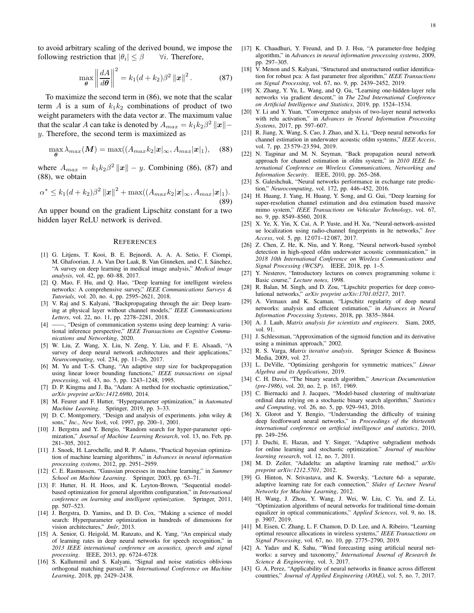to avoid arbitrary scaling of the derived bound, we impose the following restriction that  $|\theta_i| \leq \beta$  $\forall i$ . Therefore,

$$
\max_{\boldsymbol{\theta}} \left\| \frac{dA}{d\boldsymbol{\theta}} \right\|^2 = k_1 (d + k_2) \beta^2 \left\| \boldsymbol{x} \right\|^2. \tag{87}
$$

To maximize the second term in (86), we note that the scalar term A is a sum of  $k_1k_2$  combinations of product of two weight parameters with the data vector  $x$ . The maximum value that the scalar A can take is denoted by  $A_{max} = k_1 k_2 \beta^2 ||\mathbf{x}||$ y. Therefore, the second term is maximized as

$$
\max_{\boldsymbol{\theta}} \lambda_{max}(\boldsymbol{M}) = \max((A_{max}k_2|\boldsymbol{x}|_{\infty}, A_{max}|\boldsymbol{x}|_1), \quad (88)
$$

where  $A_{max} = k_1 k_2 \beta^2 ||x|| - y$ . Combining (86), (87) and (88), we obtain

$$
\alpha^* \le k_1(d+k_2)\beta^2 \|x\|^2 + \max((A_{max}k_2|x_{\infty}, A_{max}|x_{\infty}^+).
$$
\n(89)

An upper bound on the gradient Lipschitz constant for a two hidden layer ReLU network is derived.

#### **REFERENCES**

- [1] G. Litjens, T. Kooi, B. E. Bejnordi, A. A. A. Setio, F. Ciompi, M. Ghafoorian, J. A. Van Der Laak, B. Van Ginneken, and C. I. Sánchez, "A survey on deep learning in medical image analysis," *Medical image analysis*, vol. 42, pp. 60–88, 2017.
- [2] Q. Mao, F. Hu, and Q. Hao, "Deep learning for intelligent wireless networks: A comprehensive survey," *IEEE Communications Surveys & Tutorials*, vol. 20, no. 4, pp. 2595–2621, 2018.
- [3] V. Raj and S. Kalyani, "Backpropagating through the air: Deep learning at physical layer without channel models," *IEEE Communications Letters*, vol. 22, no. 11, pp. 2278–2281, 2018.
- [4] ——, "Design of communication systems using deep learning: A variational inference perspective," *IEEE Transactions on Cognitive Communications and Networking*, 2020.
- [5] W. Liu, Z. Wang, X. Liu, N. Zeng, Y. Liu, and F. E. Alsaadi, "A survey of deep neural network architectures and their applications," *Neurocomputing*, vol. 234, pp. 11–26, 2017.
- [6] M. Yu and T.-S. Chang, "An adaptive step size for backpropagation using linear lower bounding functions," *IEEE transactions on signal processing*, vol. 43, no. 5, pp. 1243–1248, 1995.
- [7] D. P. Kingma and J. Ba, "Adam: A method for stochastic optimization," *arXiv preprint arXiv:1412.6980*, 2014.
- [8] M. Feurer and F. Hutter, "Hyperparameter optimization," in *Automated Machine Learning*. Springer, 2019, pp. 3–33.
- [9] D. C. Montgomery, "Design and analysis of experiments. john wiley & sons," *Inc., New York*, vol. 1997, pp. 200–1, 2001.
- [10] J. Bergstra and Y. Bengio, "Random search for hyper-parameter optimization," *Journal of Machine Learning Research*, vol. 13, no. Feb, pp. 281–305, 2012.
- [11] J. Snoek, H. Larochelle, and R. P. Adams, "Practical bayesian optimization of machine learning algorithms," in *Advances in neural information processing systems*, 2012, pp. 2951–2959.
- [12] C. E. Rasmussen, "Gaussian processes in machine learning," in *Summer School on Machine Learning*. Springer, 2003, pp. 63–71.
- [13] F. Hutter, H. H. Hoos, and K. Leyton-Brown, "Sequential modelbased optimization for general algorithm configuration," in *International conference on learning and intelligent optimization*. Springer, 2011, pp. 507–523.
- [14] J. Bergstra, D. Yamins, and D. D. Cox, "Making a science of model search: Hyperparameter optimization in hundreds of dimensions for vision architectures," *Jmlr*, 2013.
- [15] A. Senior, G. Heigold, M. Ranzato, and K. Yang, "An empirical study of learning rates in deep neural networks for speech recognition," in *2013 IEEE international conference on acoustics, speech and signal processing*. IEEE, 2013, pp. 6724–6728.
- [16] S. Kallummil and S. Kalyani, "Signal and noise statistics oblivious orthogonal matching pursuit," in *International Conference on Machine Learning*, 2018, pp. 2429–2438.
- [17] K. Chaudhuri, Y. Freund, and D. J. Hsu, "A parameter-free hedging algorithm," in *Advances in neural information processing systems*, 2009, pp. 297–305.
- [18] V. Menon and S. Kalyani, "Structured and unstructured outlier identification for robust pca: A fast parameter free algorithm," *IEEE Transactions on Signal Processing*, vol. 67, no. 9, pp. 2439–2452, 2019.
- [19] X. Zhang, Y. Yu, L. Wang, and Q. Gu, "Learning one-hidden-layer relu networks via gradient descent," in *The 22nd International Conference on Artificial Intelligence and Statistics*, 2019, pp. 1524–1534.
- [20] Y. Li and Y. Yuan, "Convergence analysis of two-layer neural networks with relu activation," in *Advances in Neural Information Processing Systems*, 2017, pp. 597–607.
- [21] R. Jiang, X. Wang, S. Cao, J. Zhao, and X. Li, "Deep neural networks for channel estimation in underwater acoustic ofdm systems," *IEEE Access*, vol. 7, pp. 23 579–23 594, 2019.
- [22] N. Taspinar and M. N. Seyman, "Back propagation neural network approach for channel estimation in ofdm system," in *2010 IEEE International Conference on Wireless Communications, Networking and Information Security*. IEEE, 2010, pp. 265–268.
- [23] S. Galeshchuk, "Neural networks performance in exchange rate prediction," *Neurocomputing*, vol. 172, pp. 446–452, 2016.
- [24] H. Huang, J. Yang, H. Huang, Y. Song, and G. Gui, "Deep learning for super-resolution channel estimation and doa estimation based massive mimo system," *IEEE Transactions on Vehicular Technology*, vol. 67, no. 9, pp. 8549–8560, 2018.
- [25] X. Ye, X. Yin, X. Cai, A. P. Yuste, and H. Xu, "Neural-network-assisted ue localization using radio-channel fingerprints in lte networks," *Ieee Access*, vol. 5, pp. 12 071–12 087, 2017.
- [26] Z. Chen, Z. He, K. Niu, and Y. Rong, "Neural network-based symbol detection in high-speed ofdm underwater acoustic communication," in *2018 10th International Conference on Wireless Communications and Signal Processing (WCSP)*. IEEE, 2018, pp. 1–5.
- [27] Y. Nesterov, "Introductory lectures on convex programming volume i: Basic course," *Lecture notes*, 1998.
- [28] R. Balan, M. Singh, and D. Zou, "Lipschitz properties for deep convolutional networks," *arXiv preprint arXiv:1701.05217*, 2017.
- [29] A. Virmaux and K. Scaman, "Lipschitz regularity of deep neural networks: analysis and efficient estimation," in *Advances in Neural Information Processing Systems*, 2018, pp. 3835–3844.
- [30] A. J. Laub, *Matrix analysis for scientists and engineers*. Siam, 2005, vol. 91.
- [31] J. Schlessman, "Approximation of the sigmoid function and its derivative using a minimax approach," 2002.
- [32] R. S. Varga, *Matrix iterative analysis*. Springer Science & Business Media, 2009, vol. 27.
- [33] L. DeVille, "Optimizing gershgorin for symmetric matrices," *Linear Algebra and its Applications*, 2019.
- [34] C. H. Davis, "The binary search algorithm," *American Documentation (pre-1986)*, vol. 20, no. 2, p. 167, 1969.
- [35] C. Biernacki and J. Jacques, "Model-based clustering of multivariate ordinal data relying on a stochastic binary search algorithm," *Statistics and Computing*, vol. 26, no. 5, pp. 929–943, 2016.
- [36] X. Glorot and Y. Bengio, "Understanding the difficulty of training deep feedforward neural networks," in *Proceedings of the thirteenth international conference on artificial intelligence and statistics*, 2010, pp. 249–256.
- [37] J. Duchi, E. Hazan, and Y. Singer, "Adaptive subgradient methods for online learning and stochastic optimization." *Journal of machine learning research*, vol. 12, no. 7, 2011.
- [38] M. D. Zeiler, "Adadelta: an adaptive learning rate method," *arXiv preprint arXiv:1212.5701*, 2012.
- [39] G. Hinton, N. Srivastava, and K. Swersky, "Lecture 6d- a separate, adaptive learning rate for each connection," *Slides of Lecture Neural Networks for Machine Learning*, 2012.
- [40] H. Wang, J. Zhou, Y. Wang, J. Wei, W. Liu, C. Yu, and Z. Li, "Optimization algorithms of neural networks for traditional time-domain equalizer in optical communications," *Applied Sciences*, vol. 9, no. 18, p. 3907, 2019.
- [41] M. Eisen, C. Zhang, L. F. Chamon, D. D. Lee, and A. Ribeiro, "Learning optimal resource allocations in wireless systems," *IEEE Transactions on Signal Processing*, vol. 67, no. 10, pp. 2775–2790, 2019.
- [42] A. Yadav and K. Sahu, "Wind forecasting using artificial neural networks: a survey and taxonomy," *International Journal of Research In Science & Engineering*, vol. 3, 2017.
- [43] G. A. Perez, "Applicability of neural networks in finance across different countries," *Journal of Applied Engineering (JOAE)*, vol. 5, no. 7, 2017.